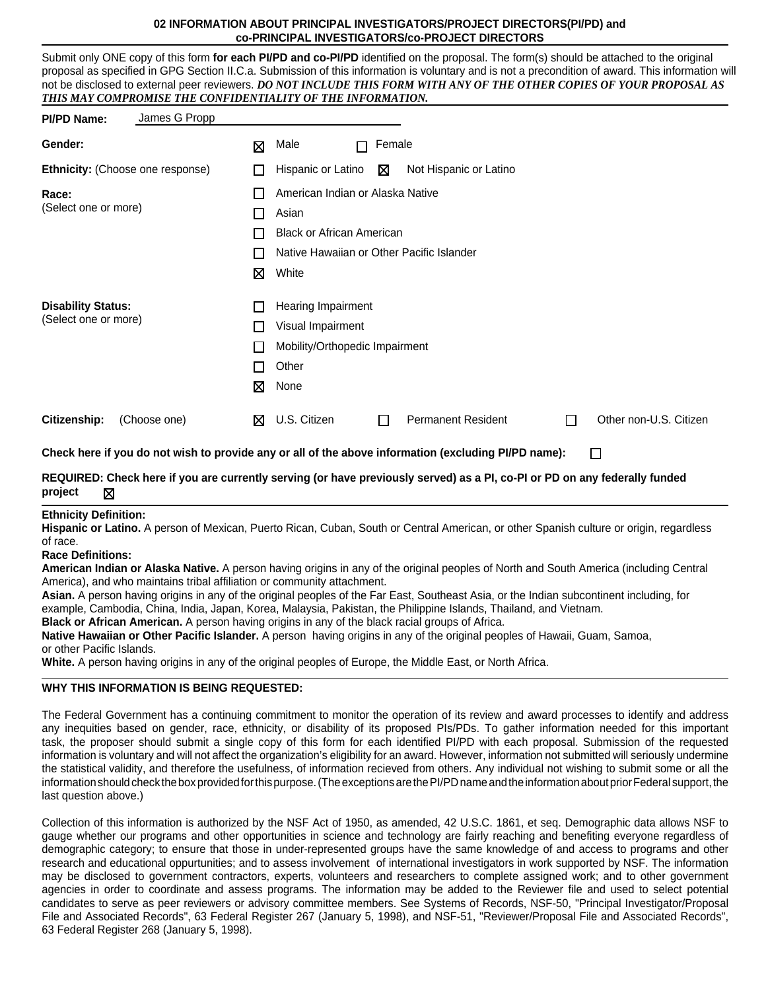#### **02 INFORMATION ABOUT PRINCIPAL INVESTIGATORS/PROJECT DIRECTORS(PI/PD) and co-PRINCIPAL INVESTIGATORS/co-PROJECT DIRECTORS**

Submit only ONE copy of this form **for each PI/PD and co-PI/PD** identified on the proposal. The form(s) should be attached to the original proposal as specified in GPG Section II.C.a. Submission of this information is voluntary and is not a precondition of award. This information will not be disclosed to external peer reviewers. *DO NOT INCLUDE THIS FORM WITH ANY OF THE OTHER COPIES OF YOUR PROPOSAL AS THIS MAY COMPROMISE THE CONFIDENTIALITY OF THE INFORMATION.*

| <b>PI/PD Name:</b>               | James G Propp |                          |                                           |                                                   |        |                                                                                                                            |   |                        |  |  |
|----------------------------------|---------------|--------------------------|-------------------------------------------|---------------------------------------------------|--------|----------------------------------------------------------------------------------------------------------------------------|---|------------------------|--|--|
| Gender:                          |               | X                        | Male                                      | П                                                 | Female |                                                                                                                            |   |                        |  |  |
| Ethnicity: (Choose one response) |               | $\overline{\phantom{a}}$ |                                           | Hispanic or Latino<br>⊠<br>Not Hispanic or Latino |        |                                                                                                                            |   |                        |  |  |
| Race:<br>(Select one or more)    |               | $\mathsf{L}$             |                                           | American Indian or Alaska Native                  |        |                                                                                                                            |   |                        |  |  |
|                                  |               | П                        | Asian                                     |                                                   |        |                                                                                                                            |   |                        |  |  |
|                                  |               | П                        | <b>Black or African American</b>          |                                                   |        |                                                                                                                            |   |                        |  |  |
|                                  |               | $\mathbf{L}$             | Native Hawaiian or Other Pacific Islander |                                                   |        |                                                                                                                            |   |                        |  |  |
|                                  |               | X                        | White                                     |                                                   |        |                                                                                                                            |   |                        |  |  |
| <b>Disability Status:</b>        |               | $\mathbf{L}$             | Hearing Impairment                        |                                                   |        |                                                                                                                            |   |                        |  |  |
| (Select one or more)             |               | П                        | Visual Impairment                         |                                                   |        |                                                                                                                            |   |                        |  |  |
|                                  |               | $\mathbf{L}$             | Mobility/Orthopedic Impairment            |                                                   |        |                                                                                                                            |   |                        |  |  |
|                                  |               | П                        | Other                                     |                                                   |        |                                                                                                                            |   |                        |  |  |
|                                  |               | ⊠                        | None                                      |                                                   |        |                                                                                                                            |   |                        |  |  |
| Citizenship:                     | (Choose one)  | ⊠                        | U.S. Citizen                              |                                                   |        | <b>Permanent Resident</b>                                                                                                  | П | Other non-U.S. Citizen |  |  |
|                                  |               |                          |                                           |                                                   |        | Check here if you do not wish to provide any or all of the above information (excluding PI/PD name):                       |   | П                      |  |  |
| project<br>⊠                     |               |                          |                                           |                                                   |        | REQUIRED: Check here if you are currently serving (or have previously served) as a PI, co-PI or PD on any federally funded |   |                        |  |  |
| <b>Ethnicity Definition:</b>     |               |                          |                                           |                                                   |        |                                                                                                                            |   |                        |  |  |

**Hispanic or Latino.** A person of Mexican, Puerto Rican, Cuban, South or Central American, or other Spanish culture or origin, regardless of race.

**Race Definitions:**

**American Indian or Alaska Native.** A person having origins in any of the original peoples of North and South America (including Central America), and who maintains tribal affiliation or community attachment.

**Asian.** A person having origins in any of the original peoples of the Far East, Southeast Asia, or the Indian subcontinent including, for example, Cambodia, China, India, Japan, Korea, Malaysia, Pakistan, the Philippine Islands, Thailand, and Vietnam.

**Black or African American.** A person having origins in any of the black racial groups of Africa.

**Native Hawaiian or Other Pacific Islander.** A person having origins in any of the original peoples of Hawaii, Guam, Samoa, or other Pacific Islands.

**White.** A person having origins in any of the original peoples of Europe, the Middle East, or North Africa.

#### **WHY THIS INFORMATION IS BEING REQUESTED:**

The Federal Government has a continuing commitment to monitor the operation of its review and award processes to identify and address any inequities based on gender, race, ethnicity, or disability of its proposed PIs/PDs. To gather information needed for this important task, the proposer should submit a single copy of this form for each identified PI/PD with each proposal. Submission of the requested information is voluntary and will not affect the organization's eligibility for an award. However, information not submitted will seriously undermine the statistical validity, and therefore the usefulness, of information recieved from others. Any individual not wishing to submit some or all the information should check the box provided for this purpose. (The exceptions are the PI/PD name and the information about prior Federal support, the last question above.)

Collection of this information is authorized by the NSF Act of 1950, as amended, 42 U.S.C. 1861, et seq. Demographic data allows NSF to gauge whether our programs and other opportunities in science and technology are fairly reaching and benefiting everyone regardless of demographic category; to ensure that those in under-represented groups have the same knowledge of and access to programs and other research and educational oppurtunities; and to assess involvement of international investigators in work supported by NSF. The information may be disclosed to government contractors, experts, volunteers and researchers to complete assigned work; and to other government agencies in order to coordinate and assess programs. The information may be added to the Reviewer file and used to select potential candidates to serve as peer reviewers or advisory committee members. See Systems of Records, NSF-50, "Principal Investigator/Proposal File and Associated Records", 63 Federal Register 267 (January 5, 1998), and NSF-51, "Reviewer/Proposal File and Associated Records", 63 Federal Register 268 (January 5, 1998).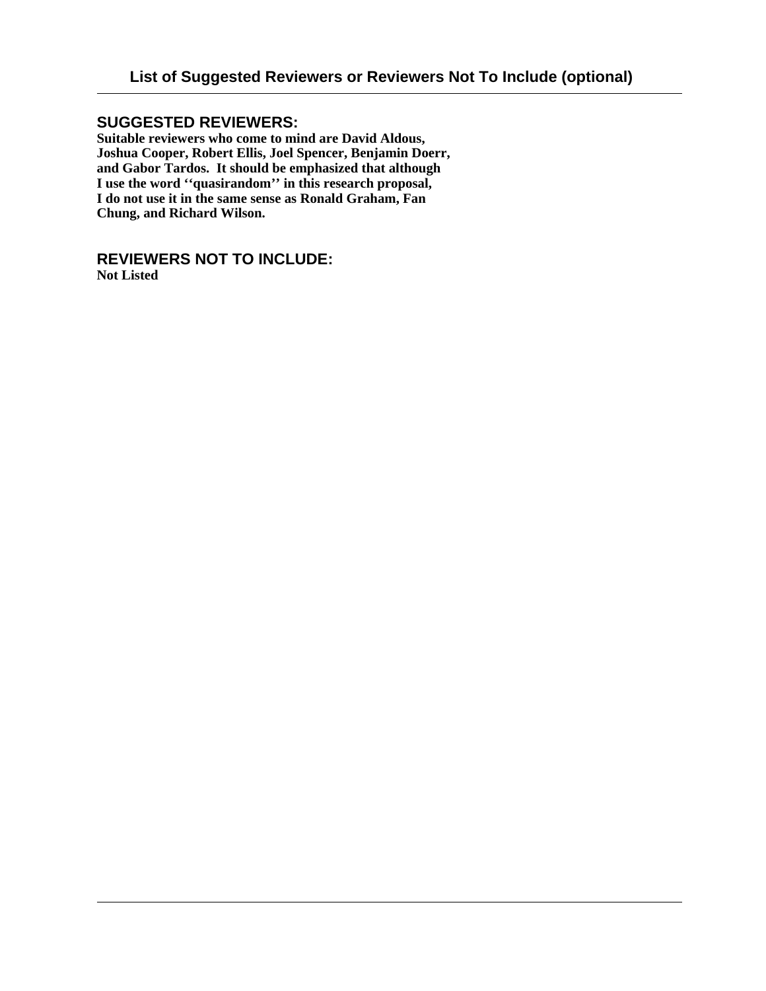## **SUGGESTED REVIEWERS:**

**Suitable reviewers who come to mind are David Aldous, Joshua Cooper, Robert Ellis, Joel Spencer, Benjamin Doerr, and Gabor Tardos. It should be emphasized that although I use the word ''quasirandom'' in this research proposal, I do not use it in the same sense as Ronald Graham, Fan Chung, and Richard Wilson.**

## **REVIEWERS NOT TO INCLUDE:**

**Not Listed**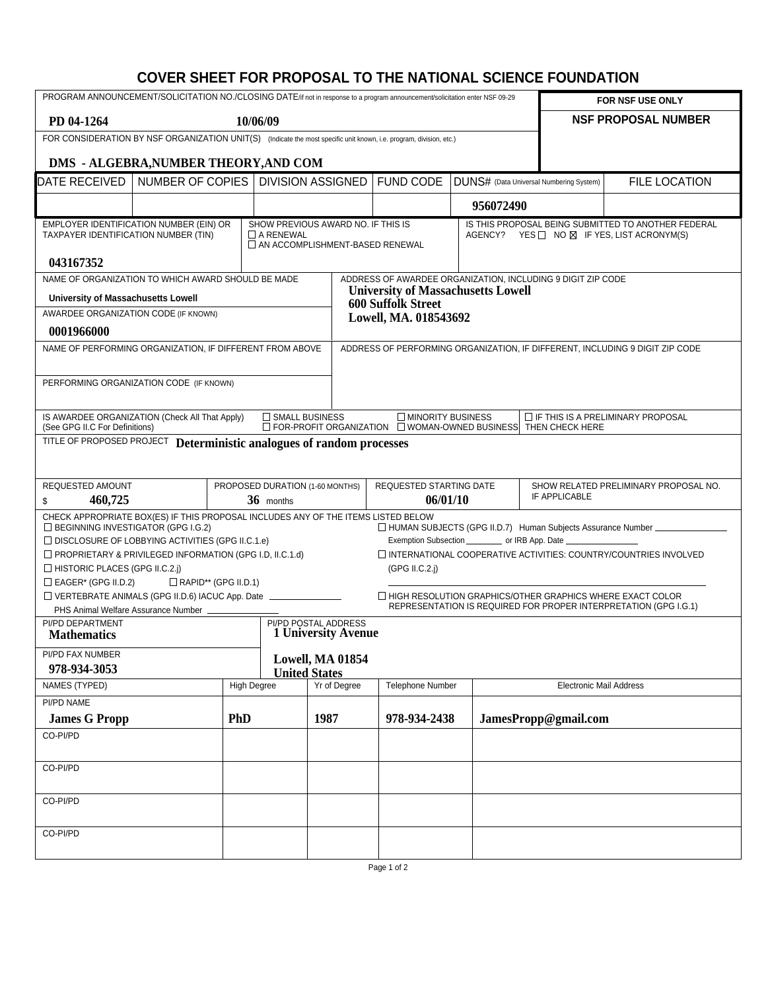## **COVER SHEET FOR PROPOSAL TO THE NATIONAL SCIENCE FOUNDATION**

| PROGRAM ANNOUNCEMENT/SOLICITATION NO./CLOSING DATE/if not in response to a program announcement/solicitation enter NSF 09-29                                                        |                                       |                    |                                 |                          |                                                                                       | FOR NSF USE ONLY                                                                 |                                |                                                                                                                  |  |  |
|-------------------------------------------------------------------------------------------------------------------------------------------------------------------------------------|---------------------------------------|--------------------|---------------------------------|--------------------------|---------------------------------------------------------------------------------------|----------------------------------------------------------------------------------|--------------------------------|------------------------------------------------------------------------------------------------------------------|--|--|
| PD 04-1264                                                                                                                                                                          |                                       | 10/06/09           |                                 |                          |                                                                                       |                                                                                  |                                | <b>NSF PROPOSAL NUMBER</b>                                                                                       |  |  |
| FOR CONSIDERATION BY NSF ORGANIZATION UNIT(S) (Indicate the most specific unit known, i.e. program, division, etc.)                                                                 |                                       |                    |                                 |                          |                                                                                       |                                                                                  |                                |                                                                                                                  |  |  |
|                                                                                                                                                                                     | DMS - ALGEBRA, NUMBER THEORY, AND COM |                    |                                 |                          |                                                                                       |                                                                                  |                                |                                                                                                                  |  |  |
| DATE RECEIVED                                                                                                                                                                       | NUMBER OF COPIES                      |                    |                                 | <b>DIVISION ASSIGNED</b> | <b>FUND CODE</b>                                                                      | DUNS# (Data Universal Numbering System)                                          |                                | <b>FILE LOCATION</b>                                                                                             |  |  |
|                                                                                                                                                                                     |                                       |                    |                                 |                          |                                                                                       | 956072490                                                                        |                                |                                                                                                                  |  |  |
| EMPLOYER IDENTIFICATION NUMBER (EIN) OR<br>SHOW PREVIOUS AWARD NO. IF THIS IS<br>TAXPAYER IDENTIFICATION NUMBER (TIN)<br>$\Box$ A RENEWAL<br>$\Box$ AN ACCOMPLISHMENT-BASED RENEWAL |                                       |                    |                                 |                          |                                                                                       |                                                                                  |                                | IS THIS PROPOSAL BEING SUBMITTED TO ANOTHER FEDERAL<br>AGENCY? YES $\Box$ NO $\boxtimes$ IF YES, LIST ACRONYM(S) |  |  |
| 043167352<br>NAME OF ORGANIZATION TO WHICH AWARD SHOULD BE MADE                                                                                                                     |                                       |                    |                                 |                          | ADDRESS OF AWARDEE ORGANIZATION, INCLUDING 9 DIGIT ZIP CODE                           |                                                                                  |                                |                                                                                                                  |  |  |
| University of Massachusetts Lowell                                                                                                                                                  |                                       |                    |                                 |                          | <b>University of Massachusetts Lowell</b>                                             |                                                                                  |                                |                                                                                                                  |  |  |
| AWARDEE ORGANIZATION CODE (IF KNOWN)                                                                                                                                                |                                       |                    |                                 |                          | <b>600 Suffolk Street</b><br>Lowell, MA. 018543692                                    |                                                                                  |                                |                                                                                                                  |  |  |
| 0001966000                                                                                                                                                                          |                                       |                    |                                 |                          |                                                                                       |                                                                                  |                                |                                                                                                                  |  |  |
| NAME OF PERFORMING ORGANIZATION, IF DIFFERENT FROM ABOVE                                                                                                                            |                                       |                    |                                 |                          |                                                                                       |                                                                                  |                                | ADDRESS OF PERFORMING ORGANIZATION, IF DIFFERENT, INCLUDING 9 DIGIT ZIP CODE                                     |  |  |
|                                                                                                                                                                                     |                                       |                    |                                 |                          |                                                                                       |                                                                                  |                                |                                                                                                                  |  |  |
| PERFORMING ORGANIZATION CODE (IF KNOWN)                                                                                                                                             |                                       |                    |                                 |                          |                                                                                       |                                                                                  |                                |                                                                                                                  |  |  |
| IS AWARDEE ORGANIZATION (Check All That Apply)<br>(See GPG II.C For Definitions)                                                                                                    |                                       |                    | SMALL BUSINESS                  |                          | MINORITY BUSINESS<br>□ FOR-PROFIT ORGANIZATION □ WOMAN-OWNED BUSINESS THEN CHECK HERE |                                                                                  |                                | $\Box$ IF THIS IS A PRELIMINARY PROPOSAL                                                                         |  |  |
| TITLE OF PROPOSED PROJECT Deterministic analogues of random processes                                                                                                               |                                       |                    |                                 |                          |                                                                                       |                                                                                  |                                |                                                                                                                  |  |  |
|                                                                                                                                                                                     |                                       |                    |                                 |                          |                                                                                       |                                                                                  |                                |                                                                                                                  |  |  |
| REQUESTED AMOUNT                                                                                                                                                                    |                                       |                    | PROPOSED DURATION (1-60 MONTHS) |                          | REQUESTED STARTING DATE                                                               |                                                                                  |                                | SHOW RELATED PRELIMINARY PROPOSAL NO.                                                                            |  |  |
| 460,725<br>\$                                                                                                                                                                       |                                       |                    | 36 months                       |                          | 06/01/10                                                                              |                                                                                  | IF APPLICABLE                  |                                                                                                                  |  |  |
| CHECK APPROPRIATE BOX(ES) IF THIS PROPOSAL INCLUDES ANY OF THE ITEMS LISTED BELOW<br>□ BEGINNING INVESTIGATOR (GPG I.G.2)                                                           |                                       |                    |                                 |                          |                                                                                       |                                                                                  |                                | □ HUMAN SUBJECTS (GPG II.D.7) Human Subjects Assurance Number                                                    |  |  |
| $\Box$ DISCLOSURE OF LOBBYING ACTIVITIES (GPG II.C.1.e)<br>PROPRIETARY & PRIVILEGED INFORMATION (GPG I.D, II.C.1.d)                                                                 |                                       |                    |                                 |                          |                                                                                       | Exemption Subsection ____________ or IRB App. Date _____________________________ |                                | $\Box$ INTERNATIONAL COOPERATIVE ACTIVITIES: COUNTRY/COUNTRIES INVOLVED                                          |  |  |
| $\Box$ HISTORIC PLACES (GPG II.C.2.j)                                                                                                                                               |                                       |                    |                                 |                          | (GPG II.C.2.)                                                                         |                                                                                  |                                |                                                                                                                  |  |  |
| $\Box$ EAGER* (GPG II.D.2)                                                                                                                                                          | $\Box$ RAPID** (GPG II.D.1)           |                    |                                 |                          |                                                                                       |                                                                                  |                                |                                                                                                                  |  |  |
| VERTEBRATE ANIMALS (GPG II.D.6) IACUC App. Date _______________                                                                                                                     |                                       |                    |                                 |                          |                                                                                       | □ HIGH RESOLUTION GRAPHICS/OTHER GRAPHICS WHERE EXACT COLOR                      |                                | REPRESENTATION IS REQUIRED FOR PROPER INTERPRETATION (GPG I.G.1)                                                 |  |  |
| PHS Animal Welfare Assurance Number _<br>PI/PD DEPARTMENT                                                                                                                           |                                       |                    |                                 | PI/PD POSTAL ADDRESS     |                                                                                       |                                                                                  |                                |                                                                                                                  |  |  |
| <b>Mathematics</b>                                                                                                                                                                  |                                       |                    |                                 | 1 University Avenue      |                                                                                       |                                                                                  |                                |                                                                                                                  |  |  |
| PI/PD FAX NUMBER<br>978-934-3053                                                                                                                                                    |                                       |                    | <b>United States</b>            | Lowell, MA 01854         |                                                                                       |                                                                                  |                                |                                                                                                                  |  |  |
| NAMES (TYPED)                                                                                                                                                                       |                                       | <b>High Degree</b> |                                 | Yr of Degree             | Telephone Number                                                                      |                                                                                  | <b>Electronic Mail Address</b> |                                                                                                                  |  |  |
| PI/PD NAME                                                                                                                                                                          |                                       |                    |                                 |                          |                                                                                       |                                                                                  |                                |                                                                                                                  |  |  |
| <b>James G Propp</b>                                                                                                                                                                |                                       | <b>PhD</b>         |                                 | 1987                     | 978-934-2438                                                                          |                                                                                  | JamesPropp@gmail.com           |                                                                                                                  |  |  |
| CO-PI/PD                                                                                                                                                                            |                                       |                    |                                 |                          |                                                                                       |                                                                                  |                                |                                                                                                                  |  |  |
| CO-PI/PD                                                                                                                                                                            |                                       |                    |                                 |                          |                                                                                       |                                                                                  |                                |                                                                                                                  |  |  |
| CO-PI/PD                                                                                                                                                                            |                                       |                    |                                 |                          |                                                                                       |                                                                                  |                                |                                                                                                                  |  |  |
|                                                                                                                                                                                     |                                       |                    |                                 |                          |                                                                                       |                                                                                  |                                |                                                                                                                  |  |  |
| CO-PI/PD                                                                                                                                                                            |                                       |                    |                                 |                          |                                                                                       |                                                                                  |                                |                                                                                                                  |  |  |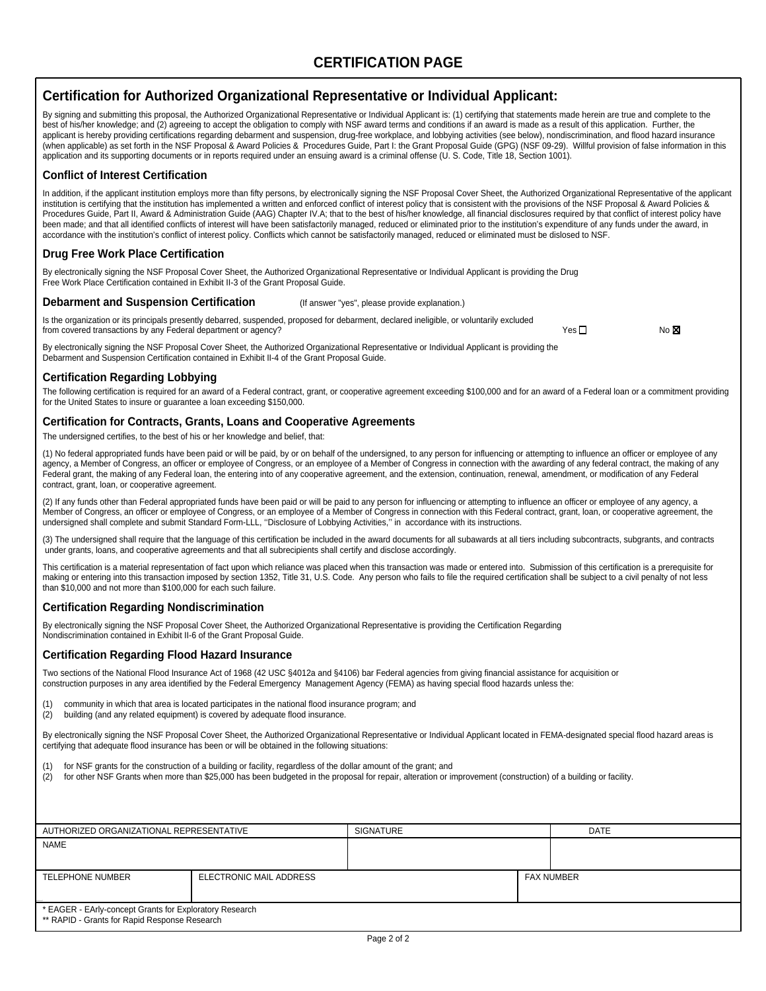## **CERTIFICATION PAGE**

### **Certification for Authorized Organizational Representative or Individual Applicant:**

By signing and submitting this proposal, the Authorized Organizational Representative or Individual Applicant is: (1) certifying that statements made herein are true and complete to the best of his/her knowledge; and (2) agreeing to accept the obligation to comply with NSF award terms and conditions if an award is made as a result of this application. Further, the applicant is hereby providing certifications regarding debarment and suspension, drug-free workplace, and lobbying activities (see below), nondiscrimination, and flood hazard insurance (when applicable) as set forth in the NSF Proposal & Award Policies & Procedures Guide, Part I: the Grant Proposal Guide (GPG) (NSF 09-29). Willful provision of false information in this application and its supporting documents or in reports required under an ensuing award is a criminal offense (U. S. Code, Title 18, Section 1001).

#### **Conflict of Interest Certification**

In addition, if the applicant institution employs more than fifty persons, by electronically signing the NSF Proposal Cover Sheet, the Authorized Organizational Representative of the applicant institution is certifying that the institution has implemented a written and enforced conflict of interest policy that is consistent with the provisions of the NSF Proposal & Award Policies & Procedures Guide, Part II, Award & Administration Guide (AAG) Chapter IV.A; that to the best of his/her knowledge, all financial disclosures required by that conflict of interest policy have been made; and that all identified conflicts of interest will have been satisfactorily managed, reduced or eliminated prior to the institution's expenditure of any funds under the award, in accordance with the institution's conflict of interest policy. Conflicts which cannot be satisfactorily managed, reduced or eliminated must be dislosed to NSF.

#### **Drug Free Work Place Certification**

By electronically signing the NSF Proposal Cover Sheet, the Authorized Organizational Representative or Individual Applicant is providing the Drug Free Work Place Certification contained in Exhibit II-3 of the Grant Proposal Guide.

#### **Debarment and Suspension Certification** (If answer "yes", please provide explanation.)

Is the organization or its principals presently debarred, suspended, proposed for debarment, declared ineligible, or voluntarily excluded from covered transactions by any Federal department or agency?  $\blacksquare$ 

By electronically signing the NSF Proposal Cover Sheet, the Authorized Organizational Representative or Individual Applicant is providing the Debarment and Suspension Certification contained in Exhibit II-4 of the Grant Proposal Guide.

#### **Certification Regarding Lobbying**

The following certification is required for an award of a Federal contract, grant, or cooperative agreement exceeding \$100,000 and for an award of a Federal loan or a commitment providing for the United States to insure or guarantee a loan exceeding \$150,000.

#### **Certification for Contracts, Grants, Loans and Cooperative Agreements**

The undersigned certifies, to the best of his or her knowledge and belief, that:

(1) No federal appropriated funds have been paid or will be paid, by or on behalf of the undersigned, to any person for influencing or attempting to influence an officer or employee of any agency, a Member of Congress, an officer or employee of Congress, or an employee of a Member of Congress in connection with the awarding of any federal contract, the making of any Federal grant, the making of any Federal loan, the entering into of any cooperative agreement, and the extension, continuation, renewal, amendment, or modification of any Federal contract, grant, loan, or cooperative agreement.

(2) If any funds other than Federal appropriated funds have been paid or will be paid to any person for influencing or attempting to influence an officer or employee of any agency, a Member of Congress, an officer or employee of Congress, or an employee of a Member of Congress in connection with this Federal contract, grant, loan, or cooperative agreement, the undersigned shall complete and submit Standard Form-LLL, ''Disclosure of Lobbying Activities,'' in accordance with its instructions.

(3) The undersigned shall require that the language of this certification be included in the award documents for all subawards at all tiers including subcontracts, subgrants, and contracts under grants, loans, and cooperative agreements and that all subrecipients shall certify and disclose accordingly.

This certification is a material representation of fact upon which reliance was placed when this transaction was made or entered into. Submission of this certification is a prerequisite for making or entering into this transaction imposed by section 1352, Title 31, U.S. Code. Any person who fails to file the required certification shall be subject to a civil penalty of not less than \$10,000 and not more than \$100,000 for each such failure.

#### **Certification Regarding Nondiscrimination**

By electronically signing the NSF Proposal Cover Sheet, the Authorized Organizational Representative is providing the Certification Regarding Nondiscrimination contained in Exhibit II-6 of the Grant Proposal Guide.

#### **Certification Regarding Flood Hazard Insurance**

Two sections of the National Flood Insurance Act of 1968 (42 USC §4012a and §4106) bar Federal agencies from giving financial assistance for acquisition or construction purposes in any area identified by the Federal Emergency Management Agency (FEMA) as having special flood hazards unless the:

(1) community in which that area is located participates in the national flood insurance program; and (2) building (and any related equipment) is covered by adequate flood insurance.

By electronically signing the NSF Proposal Cover Sheet, the Authorized Organizational Representative or Individual Applicant located in FEMA-designated special flood hazard areas is certifying that adequate flood insurance has been or will be obtained in the following situations:

(1) for NSF grants for the construction of a building or facility, regardless of the dollar amount of the grant; and

 $(2)$  for other NSF Grants when more than \$25,000 has been budgeted in the proposal for repair, alteration or improvement (construction) of a building or facility.

| AUTHORIZED ORGANIZATIONAL REPRESENTATIVE                                                                 | <b>SIGNATURE</b>        |  | <b>DATE</b>       |  |
|----------------------------------------------------------------------------------------------------------|-------------------------|--|-------------------|--|
| <b>NAME</b>                                                                                              |                         |  |                   |  |
|                                                                                                          |                         |  |                   |  |
| <b>TELEPHONE NUMBER</b>                                                                                  | ELECTRONIC MAIL ADDRESS |  | <b>FAX NUMBER</b> |  |
| * EAGER - EArly-concept Grants for Exploratory Research<br>** RAPID - Grants for Rapid Response Research |                         |  |                   |  |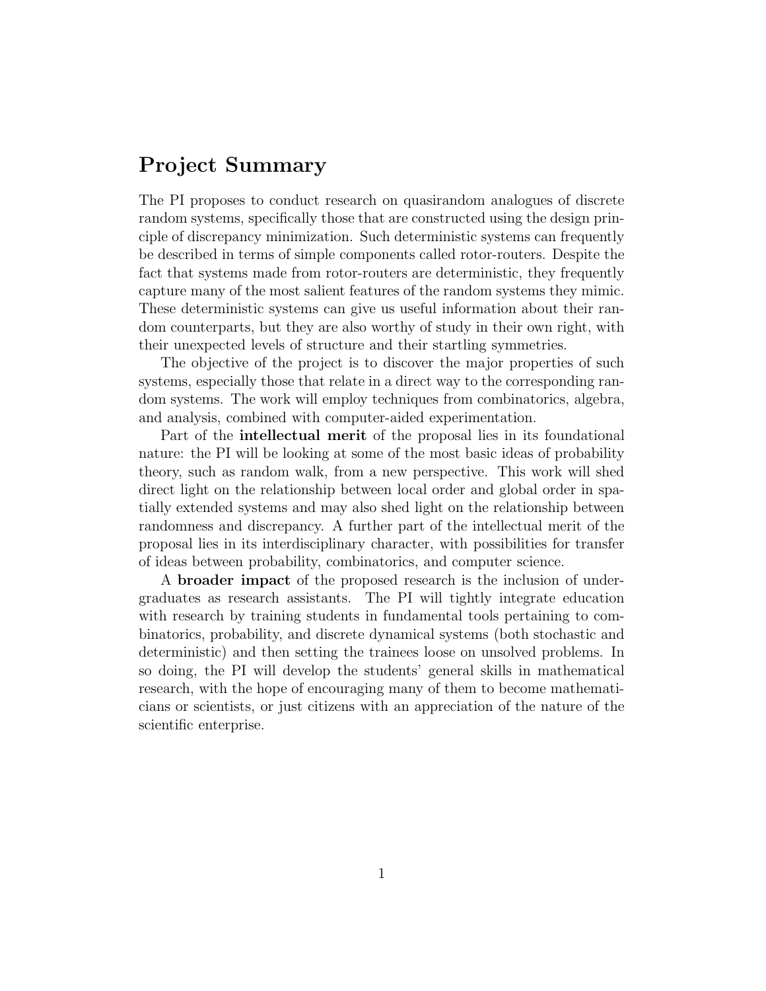# Project Summary

The PI proposes to conduct research on quasirandom analogues of discrete random systems, specifically those that are constructed using the design principle of discrepancy minimization. Such deterministic systems can frequently be described in terms of simple components called rotor-routers. Despite the fact that systems made from rotor-routers are deterministic, they frequently capture many of the most salient features of the random systems they mimic. These deterministic systems can give us useful information about their random counterparts, but they are also worthy of study in their own right, with their unexpected levels of structure and their startling symmetries.

The objective of the project is to discover the major properties of such systems, especially those that relate in a direct way to the corresponding random systems. The work will employ techniques from combinatorics, algebra, and analysis, combined with computer-aided experimentation.

Part of the intellectual merit of the proposal lies in its foundational nature: the PI will be looking at some of the most basic ideas of probability theory, such as random walk, from a new perspective. This work will shed direct light on the relationship between local order and global order in spatially extended systems and may also shed light on the relationship between randomness and discrepancy. A further part of the intellectual merit of the proposal lies in its interdisciplinary character, with possibilities for transfer of ideas between probability, combinatorics, and computer science.

A broader impact of the proposed research is the inclusion of undergraduates as research assistants. The PI will tightly integrate education with research by training students in fundamental tools pertaining to combinatorics, probability, and discrete dynamical systems (both stochastic and deterministic) and then setting the trainees loose on unsolved problems. In so doing, the PI will develop the students' general skills in mathematical research, with the hope of encouraging many of them to become mathematicians or scientists, or just citizens with an appreciation of the nature of the scientific enterprise.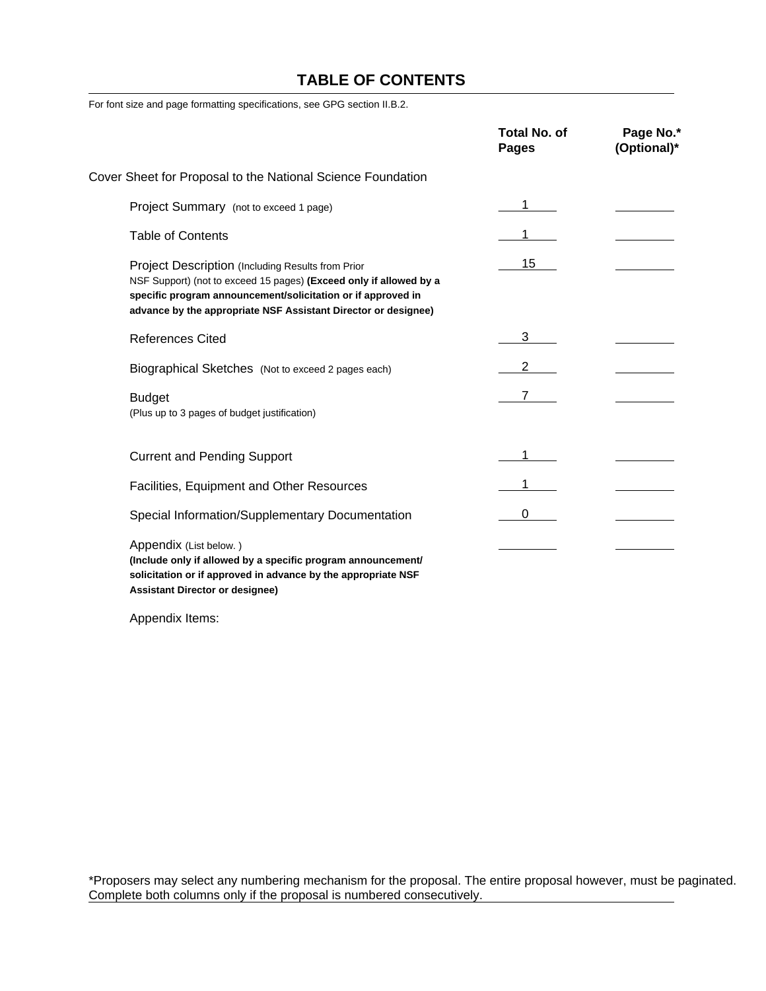## **TABLE OF CONTENTS**

For font size and page formatting specifications, see GPG section II.B.2.

|                                                                                                                                                                                                                                                           | <b>Total No. of</b><br><b>Pages</b> | Page No.*<br>(Optional)* |
|-----------------------------------------------------------------------------------------------------------------------------------------------------------------------------------------------------------------------------------------------------------|-------------------------------------|--------------------------|
| Cover Sheet for Proposal to the National Science Foundation                                                                                                                                                                                               |                                     |                          |
| Project Summary (not to exceed 1 page)                                                                                                                                                                                                                    |                                     |                          |
| <b>Table of Contents</b>                                                                                                                                                                                                                                  |                                     |                          |
| Project Description (Including Results from Prior<br>NSF Support) (not to exceed 15 pages) (Exceed only if allowed by a<br>specific program announcement/solicitation or if approved in<br>advance by the appropriate NSF Assistant Director or designee) | 15                                  |                          |
| <b>References Cited</b>                                                                                                                                                                                                                                   | 3                                   |                          |
| Biographical Sketches (Not to exceed 2 pages each)                                                                                                                                                                                                        |                                     |                          |
| <b>Budget</b><br>(Plus up to 3 pages of budget justification)                                                                                                                                                                                             |                                     |                          |
| <b>Current and Pending Support</b>                                                                                                                                                                                                                        |                                     |                          |
| Facilities, Equipment and Other Resources                                                                                                                                                                                                                 |                                     |                          |
| Special Information/Supplementary Documentation                                                                                                                                                                                                           |                                     |                          |
| Appendix (List below.)<br>(Include only if allowed by a specific program announcement/<br>solicitation or if approved in advance by the appropriate NSF<br><b>Assistant Director or designee)</b>                                                         |                                     |                          |

Appendix Items:

\*Proposers may select any numbering mechanism for the proposal. The entire proposal however, must be paginated. Complete both columns only if the proposal is numbered consecutively.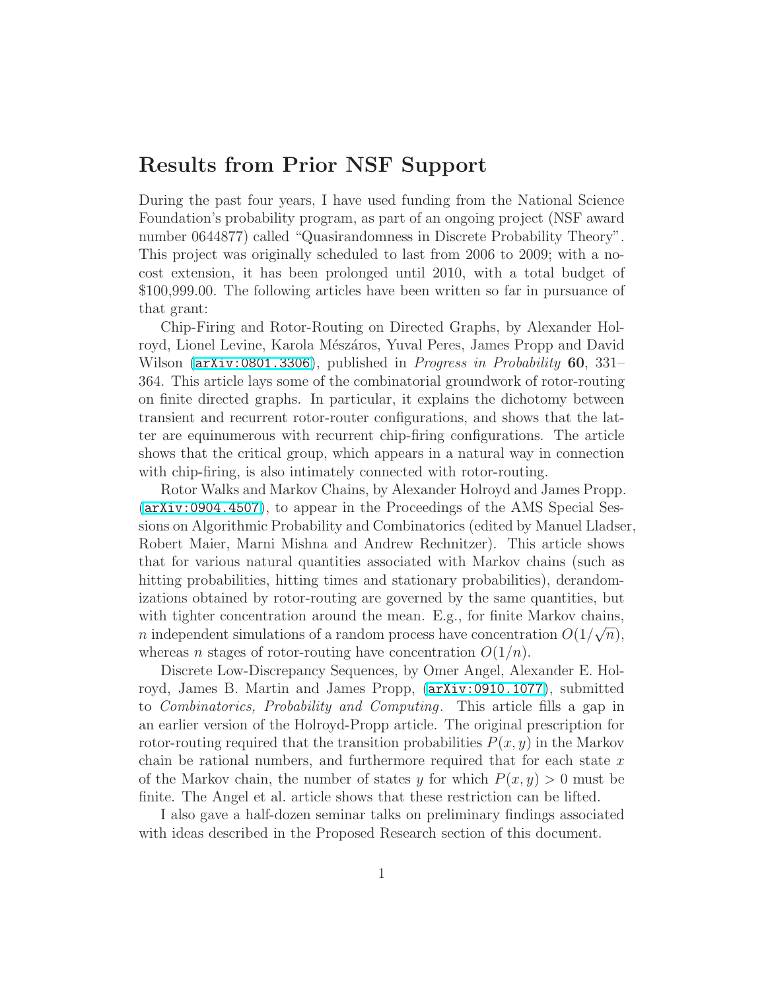## Results from Prior NSF Support

During the past four years, I have used funding from the National Science Foundation's probability program, as part of an ongoing project (NSF award number 0644877) called "Quasirandomness in Discrete Probability Theory". This project was originally scheduled to last from 2006 to 2009; with a nocost extension, it has been prolonged until 2010, with a total budget of \$100,999.00. The following articles have been written so far in pursuance of that grant:

Chip-Firing and Rotor-Routing on Directed Graphs, by Alexander Holroyd, Lionel Levine, Karola Mészáros, Yuval Peres, James Propp and David Wilson ([arXiv:0801.3306](http://arxiv.org/abs/0801.3306)), published in *Progress in Probability* 60, 331– 364. This article lays some of the combinatorial groundwork of rotor-routing on finite directed graphs. In particular, it explains the dichotomy between transient and recurrent rotor-router configurations, and shows that the latter are equinumerous with recurrent chip-firing configurations. The article shows that the critical group, which appears in a natural way in connection with chip-firing, is also intimately connected with rotor-routing.

Rotor Walks and Markov Chains, by Alexander Holroyd and James Propp. ([arXiv:0904.4507](http://arxiv.org/abs/0904.4507)), to appear in the Proceedings of the AMS Special Sessions on Algorithmic Probability and Combinatorics (edited by Manuel Lladser, Robert Maier, Marni Mishna and Andrew Rechnitzer). This article shows that for various natural quantities associated with Markov chains (such as hitting probabilities, hitting times and stationary probabilities), derandomizations obtained by rotor-routing are governed by the same quantities, but with tighter concentration around the mean. E.g., for finite Markov chains, *n* independent simulations of a random process have concentration  $O(1/\sqrt{n})$ , whereas *n* stages of rotor-routing have concentration  $O(1/n)$ .

Discrete Low-Discrepancy Sequences, by Omer Angel, Alexander E. Holroyd, James B. Martin and James Propp, ([arXiv:0910.1077](http://arxiv.org/abs/0910.1077)), submitted to Combinatorics, Probability and Computing. This article fills a gap in an earlier version of the Holroyd-Propp article. The original prescription for rotor-routing required that the transition probabilities  $P(x, y)$  in the Markov chain be rational numbers, and furthermore required that for each state  $x$ of the Markov chain, the number of states y for which  $P(x, y) > 0$  must be finite. The Angel et al. article shows that these restriction can be lifted.

I also gave a half-dozen seminar talks on preliminary findings associated with ideas described in the Proposed Research section of this document.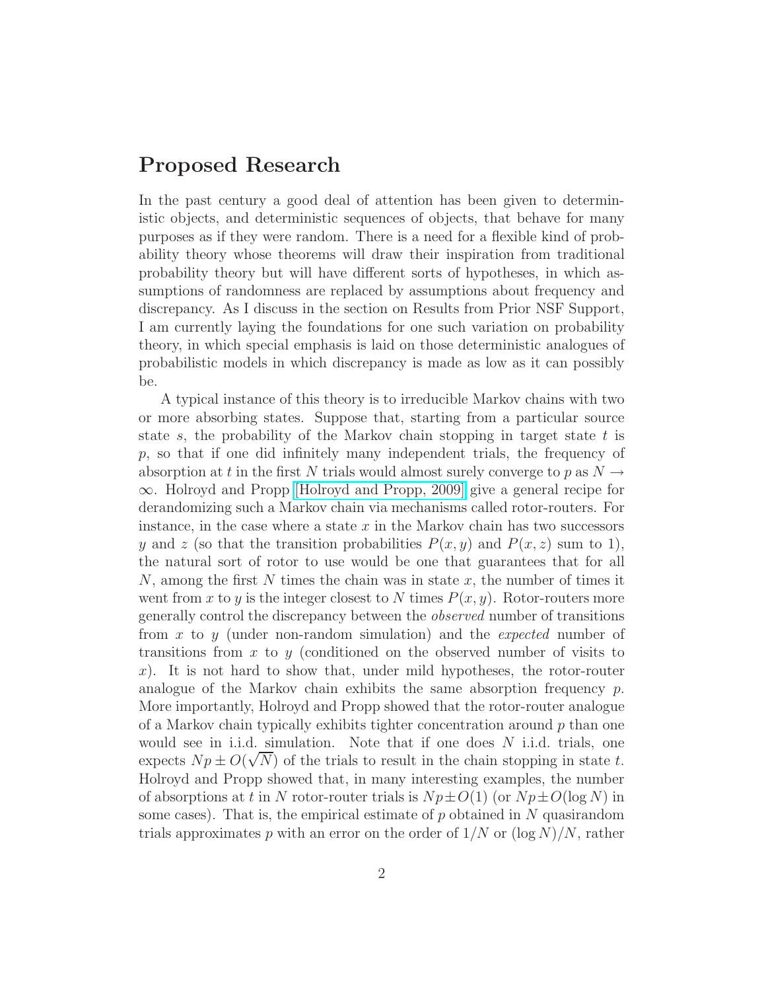## Proposed Research

In the past century a good deal of attention has been given to deterministic objects, and deterministic sequences of objects, that behave for many purposes as if they were random. There is a need for a flexible kind of probability theory whose theorems will draw their inspiration from traditional probability theory but will have different sorts of hypotheses, in which assumptions of randomness are replaced by assumptions about frequency and discrepancy. As I discuss in the section on Results from Prior NSF Support, I am currently laying the foundations for one such variation on probability theory, in which special emphasis is laid on those deterministic analogues of probabilistic models in which discrepancy is made as low as it can possibly be.

A typical instance of this theory is to irreducible Markov chains with two or more absorbing states. Suppose that, starting from a particular source state s, the probability of the Markov chain stopping in target state  $t$  is p, so that if one did infinitely many independent trials, the frequency of absorption at t in the first N trials would almost surely converge to p as  $N \rightarrow$ ∞. Holroyd and Propp [\[Holroyd and Propp, 2009\]](http://arxiv.org/abs/0904.4507) give a general recipe for derandomizing such a Markov chain via mechanisms called rotor-routers. For instance, in the case where a state  $x$  in the Markov chain has two successors y and z (so that the transition probabilities  $P(x, y)$  and  $P(x, z)$  sum to 1), the natural sort of rotor to use would be one that guarantees that for all  $N$ , among the first N times the chain was in state x, the number of times it went from x to y is the integer closest to N times  $P(x, y)$ . Rotor-routers more generally control the discrepancy between the observed number of transitions from x to y (under non-random simulation) and the expected number of transitions from  $x$  to  $y$  (conditioned on the observed number of visits to  $x$ ). It is not hard to show that, under mild hypotheses, the rotor-router analogue of the Markov chain exhibits the same absorption frequency  $p$ . More importantly, Holroyd and Propp showed that the rotor-router analogue of a Markov chain typically exhibits tighter concentration around  $p$  than one would see in i.i.d. simulation. Note that if one does  $N$  i.i.d. trials, one expects  $Np \pm O(\sqrt{N})$  of the trials to result in the chain stopping in state t. Holroyd and Propp showed that, in many interesting examples, the number of absorptions at t in N rotor-router trials is  $Np \pm O(1)$  (or  $Np \pm O(\log N)$  in some cases). That is, the empirical estimate of  $p$  obtained in  $N$  quasirandom trials approximates p with an error on the order of  $1/N$  or  $(\log N)/N$ , rather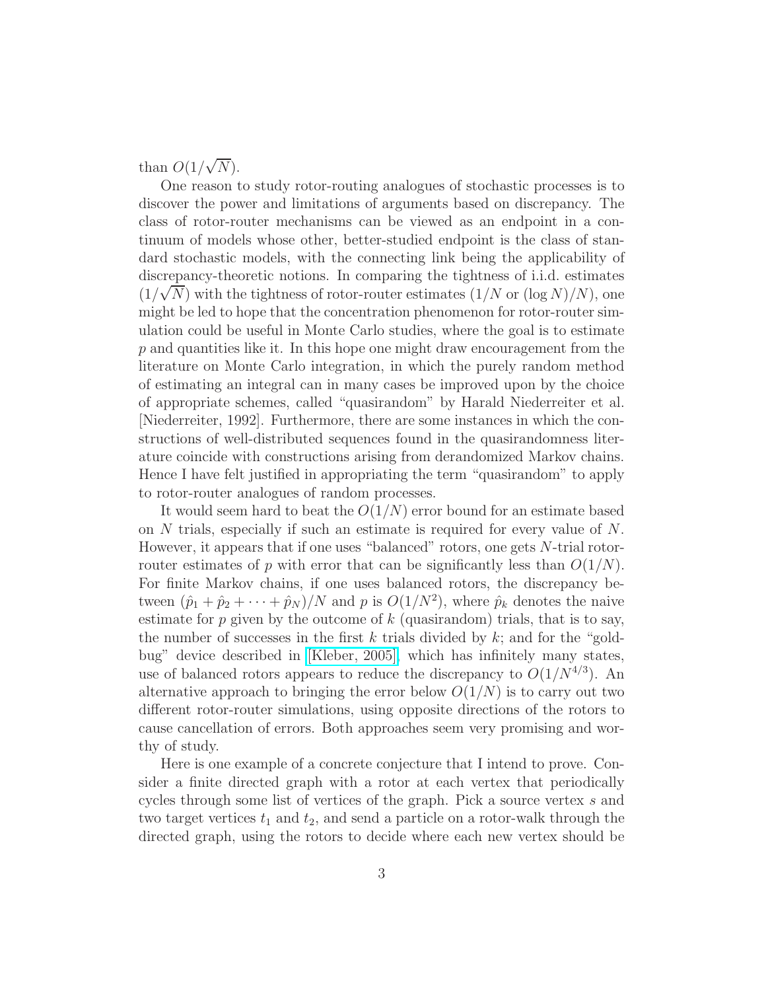than  $O(1/\sqrt{N})$ .

One reason to study rotor-routing analogues of stochastic processes is to discover the power and limitations of arguments based on discrepancy. The class of rotor-router mechanisms can be viewed as an endpoint in a continuum of models whose other, better-studied endpoint is the class of standard stochastic models, with the connecting link being the applicability of discrepancy-theoretic notions. In comparing the tightness of i.i.d. estimates  $(1/\sqrt{N})$  with the tightness of rotor-router estimates  $(1/N$  or  $(\log N)/N)$ , one might be led to hope that the concentration phenomenon for rotor-router simulation could be useful in Monte Carlo studies, where the goal is to estimate  $p$  and quantities like it. In this hope one might draw encouragement from the literature on Monte Carlo integration, in which the purely random method of estimating an integral can in many cases be improved upon by the choice of appropriate schemes, called "quasirandom" by Harald Niederreiter et al. [Niederreiter, 1992]. Furthermore, there are some instances in which the constructions of well-distributed sequences found in the quasirandomness literature coincide with constructions arising from derandomized Markov chains. Hence I have felt justified in appropriating the term "quasirandom" to apply to rotor-router analogues of random processes.

It would seem hard to beat the  $O(1/N)$  error bound for an estimate based on  $N$  trials, especially if such an estimate is required for every value of  $N$ . However, it appears that if one uses "balanced" rotors, one gets N-trial rotorrouter estimates of p with error that can be significantly less than  $O(1/N)$ . For finite Markov chains, if one uses balanced rotors, the discrepancy between  $(\hat{p}_1 + \hat{p}_2 + \cdots + \hat{p}_N)/N$  and p is  $O(1/N^2)$ , where  $\hat{p}_k$  denotes the naive estimate for  $p$  given by the outcome of  $k$  (quasirandom) trials, that is to say, the number of successes in the first k trials divided by  $k$ ; and for the "goldbug" device described in [\[Kleber, 2005\],](http://arxiv.org/abs/math.CO/0501497) which has infinitely many states, use of balanced rotors appears to reduce the discrepancy to  $O(1/N^{4/3})$ . An alternative approach to bringing the error below  $O(1/N)$  is to carry out two different rotor-router simulations, using opposite directions of the rotors to cause cancellation of errors. Both approaches seem very promising and worthy of study.

Here is one example of a concrete conjecture that I intend to prove. Consider a finite directed graph with a rotor at each vertex that periodically cycles through some list of vertices of the graph. Pick a source vertex s and two target vertices  $t_1$  and  $t_2$ , and send a particle on a rotor-walk through the directed graph, using the rotors to decide where each new vertex should be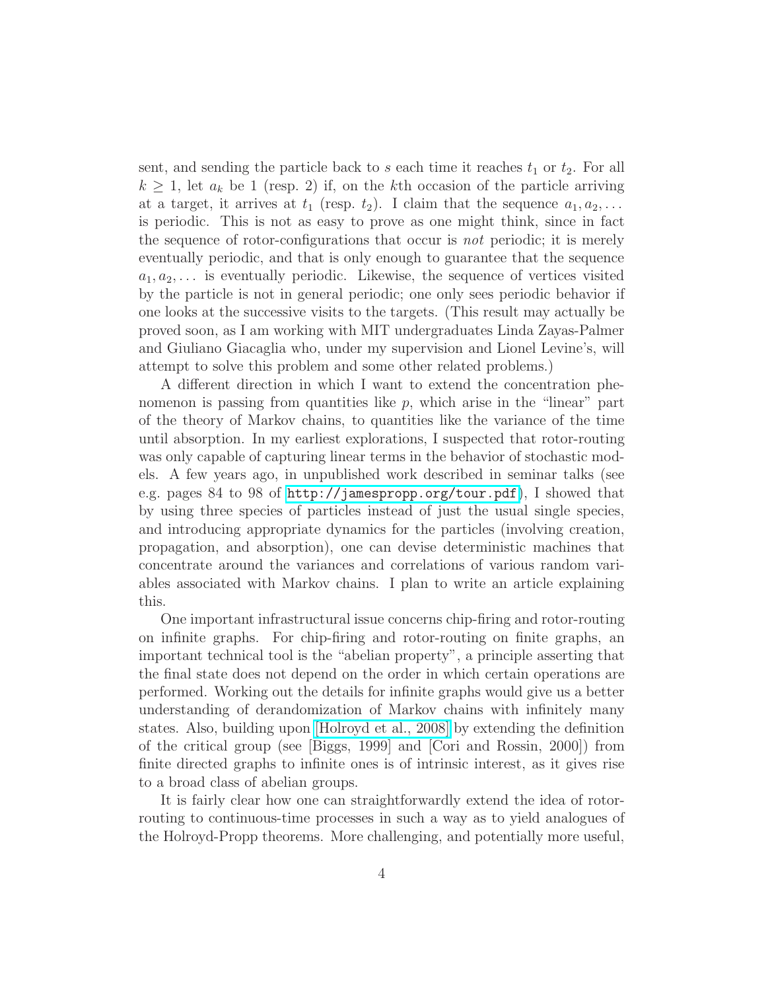sent, and sending the particle back to s each time it reaches  $t_1$  or  $t_2$ . For all  $k \geq 1$ , let  $a_k$  be 1 (resp. 2) if, on the kth occasion of the particle arriving at a target, it arrives at  $t_1$  (resp.  $t_2$ ). I claim that the sequence  $a_1, a_2, \ldots$ is periodic. This is not as easy to prove as one might think, since in fact the sequence of rotor-configurations that occur is not periodic; it is merely eventually periodic, and that is only enough to guarantee that the sequence  $a_1, a_2, \ldots$  is eventually periodic. Likewise, the sequence of vertices visited by the particle is not in general periodic; one only sees periodic behavior if one looks at the successive visits to the targets. (This result may actually be proved soon, as I am working with MIT undergraduates Linda Zayas-Palmer and Giuliano Giacaglia who, under my supervision and Lionel Levine's, will attempt to solve this problem and some other related problems.)

A different direction in which I want to extend the concentration phenomenon is passing from quantities like  $p$ , which arise in the "linear" part of the theory of Markov chains, to quantities like the variance of the time until absorption. In my earliest explorations, I suspected that rotor-routing was only capable of capturing linear terms in the behavior of stochastic models. A few years ago, in unpublished work described in seminar talks (see e.g. pages 84 to 98 of <http://jamespropp.org/tour.pdf>), I showed that by using three species of particles instead of just the usual single species, and introducing appropriate dynamics for the particles (involving creation, propagation, and absorption), one can devise deterministic machines that concentrate around the variances and correlations of various random variables associated with Markov chains. I plan to write an article explaining this.

One important infrastructural issue concerns chip-firing and rotor-routing on infinite graphs. For chip-firing and rotor-routing on finite graphs, an important technical tool is the "abelian property", a principle asserting that the final state does not depend on the order in which certain operations are performed. Working out the details for infinite graphs would give us a better understanding of derandomization of Markov chains with infinitely many states. Also, building upon [\[Holroyd et al., 2008\]](http://arxiv.org/abs/0801.3306) by extending the definition of the critical group (see [Biggs, 1999] and [Cori and Rossin, 2000]) from finite directed graphs to infinite ones is of intrinsic interest, as it gives rise to a broad class of abelian groups.

It is fairly clear how one can straightforwardly extend the idea of rotorrouting to continuous-time processes in such a way as to yield analogues of the Holroyd-Propp theorems. More challenging, and potentially more useful,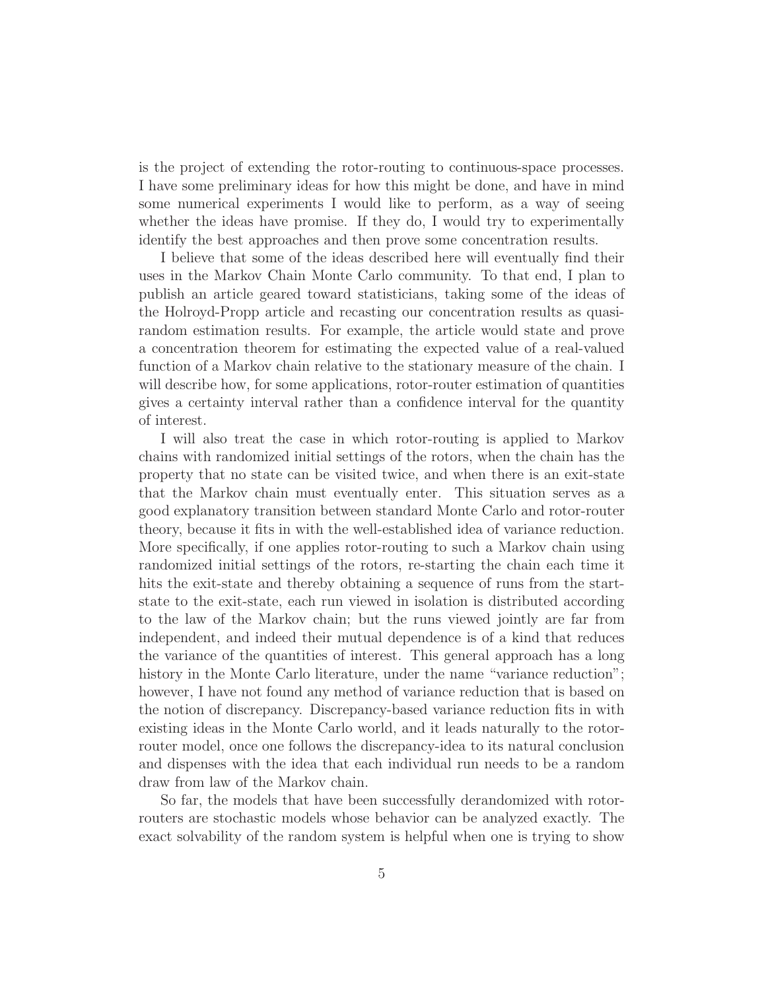is the project of extending the rotor-routing to continuous-space processes. I have some preliminary ideas for how this might be done, and have in mind some numerical experiments I would like to perform, as a way of seeing whether the ideas have promise. If they do, I would try to experimentally identify the best approaches and then prove some concentration results.

I believe that some of the ideas described here will eventually find their uses in the Markov Chain Monte Carlo community. To that end, I plan to publish an article geared toward statisticians, taking some of the ideas of the Holroyd-Propp article and recasting our concentration results as quasirandom estimation results. For example, the article would state and prove a concentration theorem for estimating the expected value of a real-valued function of a Markov chain relative to the stationary measure of the chain. I will describe how, for some applications, rotor-router estimation of quantities gives a certainty interval rather than a confidence interval for the quantity of interest.

I will also treat the case in which rotor-routing is applied to Markov chains with randomized initial settings of the rotors, when the chain has the property that no state can be visited twice, and when there is an exit-state that the Markov chain must eventually enter. This situation serves as a good explanatory transition between standard Monte Carlo and rotor-router theory, because it fits in with the well-established idea of variance reduction. More specifically, if one applies rotor-routing to such a Markov chain using randomized initial settings of the rotors, re-starting the chain each time it hits the exit-state and thereby obtaining a sequence of runs from the startstate to the exit-state, each run viewed in isolation is distributed according to the law of the Markov chain; but the runs viewed jointly are far from independent, and indeed their mutual dependence is of a kind that reduces the variance of the quantities of interest. This general approach has a long history in the Monte Carlo literature, under the name "variance reduction"; however, I have not found any method of variance reduction that is based on the notion of discrepancy. Discrepancy-based variance reduction fits in with existing ideas in the Monte Carlo world, and it leads naturally to the rotorrouter model, once one follows the discrepancy-idea to its natural conclusion and dispenses with the idea that each individual run needs to be a random draw from law of the Markov chain.

So far, the models that have been successfully derandomized with rotorrouters are stochastic models whose behavior can be analyzed exactly. The exact solvability of the random system is helpful when one is trying to show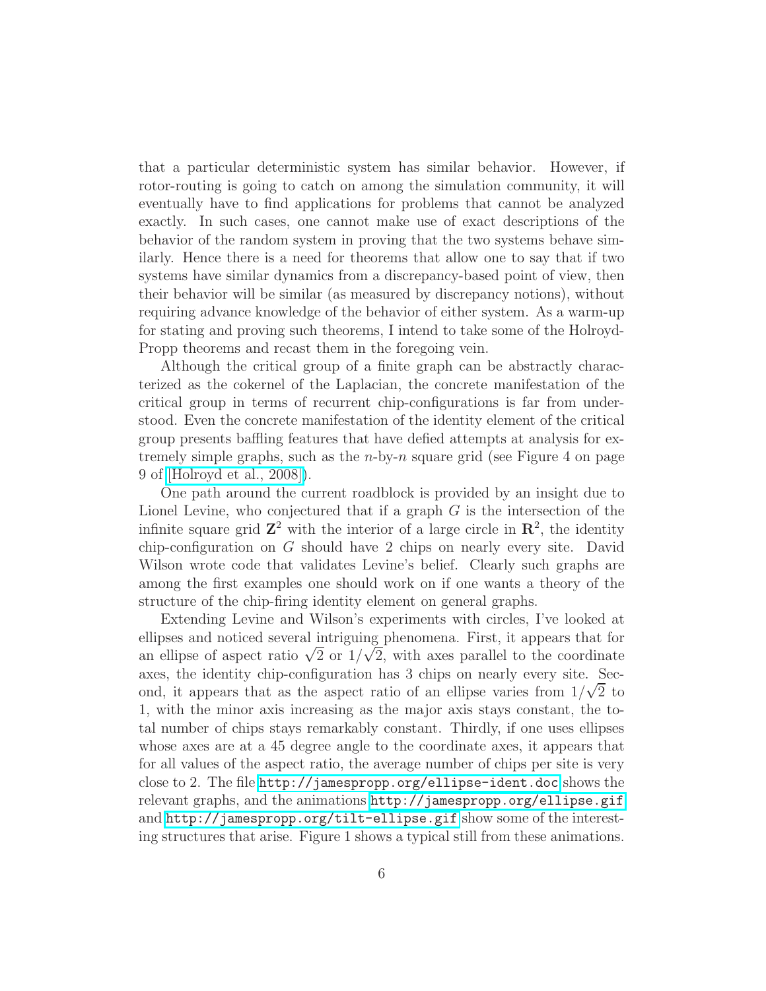that a particular deterministic system has similar behavior. However, if rotor-routing is going to catch on among the simulation community, it will eventually have to find applications for problems that cannot be analyzed exactly. In such cases, one cannot make use of exact descriptions of the behavior of the random system in proving that the two systems behave similarly. Hence there is a need for theorems that allow one to say that if two systems have similar dynamics from a discrepancy-based point of view, then their behavior will be similar (as measured by discrepancy notions), without requiring advance knowledge of the behavior of either system. As a warm-up for stating and proving such theorems, I intend to take some of the Holroyd-Propp theorems and recast them in the foregoing vein.

Although the critical group of a finite graph can be abstractly characterized as the cokernel of the Laplacian, the concrete manifestation of the critical group in terms of recurrent chip-configurations is far from understood. Even the concrete manifestation of the identity element of the critical group presents baffling features that have defied attempts at analysis for extremely simple graphs, such as the  $n$ -by- $n$  square grid (see Figure 4 on page 9 of [\[Holroyd et al., 2008\]\)](http://arxiv.org/abs/0801.3306).

One path around the current roadblock is provided by an insight due to Lionel Levine, who conjectured that if a graph  $G$  is the intersection of the infinite square grid  $\mathbb{Z}^2$  with the interior of a large circle in  $\mathbb{R}^2$ , the identity chip-configuration on G should have 2 chips on nearly every site. David Wilson wrote code that validates Levine's belief. Clearly such graphs are among the first examples one should work on if one wants a theory of the structure of the chip-firing identity element on general graphs.

Extending Levine and Wilson's experiments with circles, I've looked at ellipses and noticed several intriguing phenomena. First, it appears that for an ellipse of aspect ratio  $\sqrt{2}$  or  $1/\sqrt{2}$ , with axes parallel to the coordinate axes, the identity chip-configuration has 3 chips on nearly every site. Second, it appears that as the aspect ratio of an ellipse varies from  $1/\sqrt{2}$  to 1, with the minor axis increasing as the major axis stays constant, the total number of chips stays remarkably constant. Thirdly, if one uses ellipses whose axes are at a 45 degree angle to the coordinate axes, it appears that for all values of the aspect ratio, the average number of chips per site is very close to 2. The file <http://jamespropp.org/ellipse-ident.doc> shows the relevant graphs, and the animations <http://jamespropp.org/ellipse.gif> and <http://jamespropp.org/tilt-ellipse.gif> show some of the interesting structures that arise. Figure 1 shows a typical still from these animations.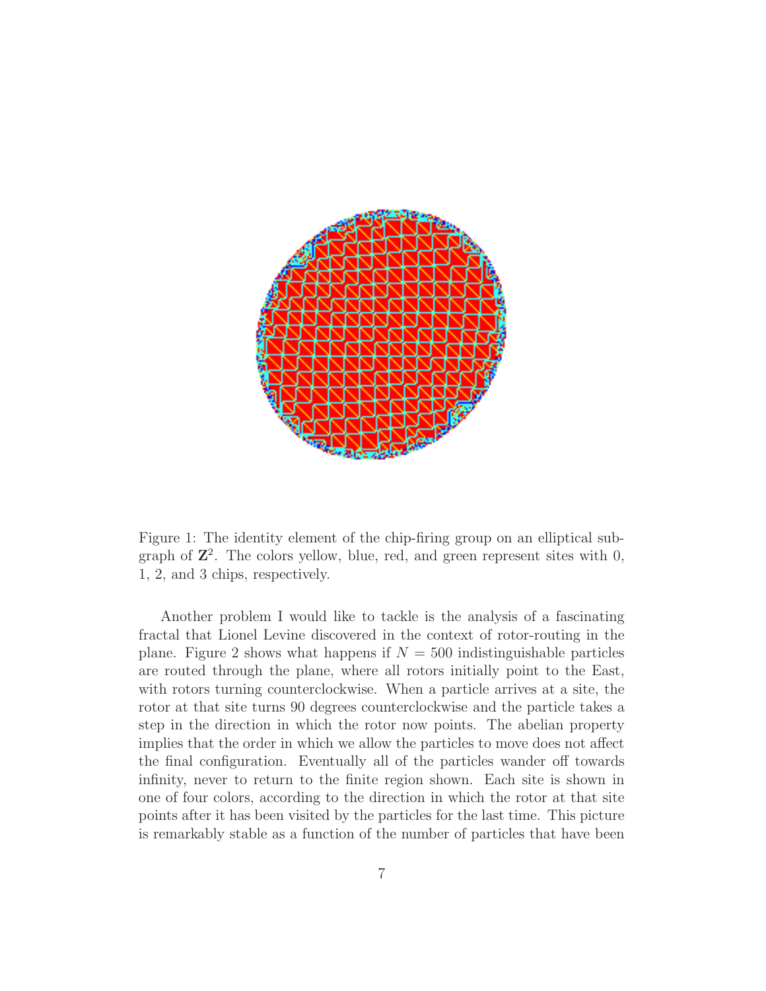

Figure 1: The identity element of the chip-firing group on an elliptical subgraph of  $\mathbb{Z}^2$ . The colors yellow, blue, red, and green represent sites with 0, 1, 2, and 3 chips, respectively.

Another problem I would like to tackle is the analysis of a fascinating fractal that Lionel Levine discovered in the context of rotor-routing in the plane. Figure 2 shows what happens if  $N = 500$  indistinguishable particles are routed through the plane, where all rotors initially point to the East, with rotors turning counterclockwise. When a particle arrives at a site, the rotor at that site turns 90 degrees counterclockwise and the particle takes a step in the direction in which the rotor now points. The abelian property implies that the order in which we allow the particles to move does not affect the final configuration. Eventually all of the particles wander off towards infinity, never to return to the finite region shown. Each site is shown in one of four colors, according to the direction in which the rotor at that site points after it has been visited by the particles for the last time. This picture is remarkably stable as a function of the number of particles that have been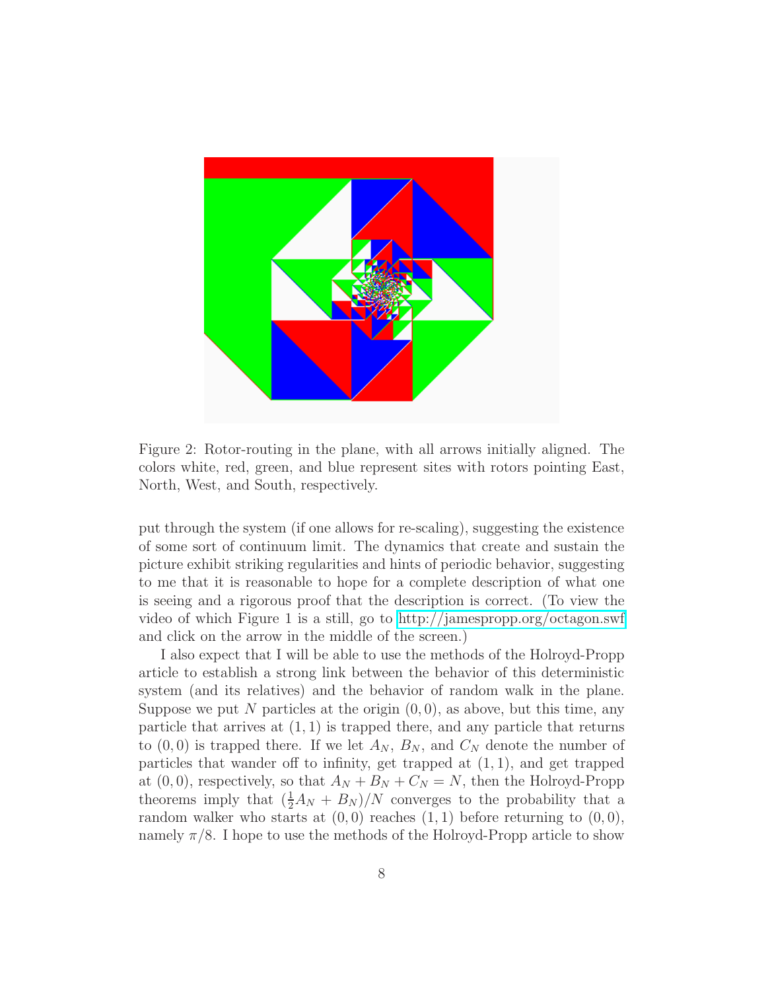

Figure 2: Rotor-routing in the plane, with all arrows initially aligned. The colors white, red, green, and blue represent sites with rotors pointing East, North, West, and South, respectively.

put through the system (if one allows for re-scaling), suggesting the existence of some sort of continuum limit. The dynamics that create and sustain the picture exhibit striking regularities and hints of periodic behavior, suggesting to me that it is reasonable to hope for a complete description of what one is seeing and a rigorous proof that the description is correct. (To view the video of which Figure 1 is a still, go to<http://jamespropp.org/octagon.swf> and click on the arrow in the middle of the screen.)

I also expect that I will be able to use the methods of the Holroyd-Propp article to establish a strong link between the behavior of this deterministic system (and its relatives) and the behavior of random walk in the plane. Suppose we put N particles at the origin  $(0, 0)$ , as above, but this time, any particle that arrives at  $(1, 1)$  is trapped there, and any particle that returns to  $(0,0)$  is trapped there. If we let  $A_N$ ,  $B_N$ , and  $C_N$  denote the number of particles that wander off to infinity, get trapped at  $(1, 1)$ , and get trapped at  $(0, 0)$ , respectively, so that  $A_N + B_N + C_N = N$ , then the Holroyd-Propp theorems imply that  $(\frac{1}{2}A_N + B_N)/N$  converges to the probability that a random walker who starts at  $(0, 0)$  reaches  $(1, 1)$  before returning to  $(0, 0)$ , namely  $\pi/8$ . I hope to use the methods of the Holroyd-Propp article to show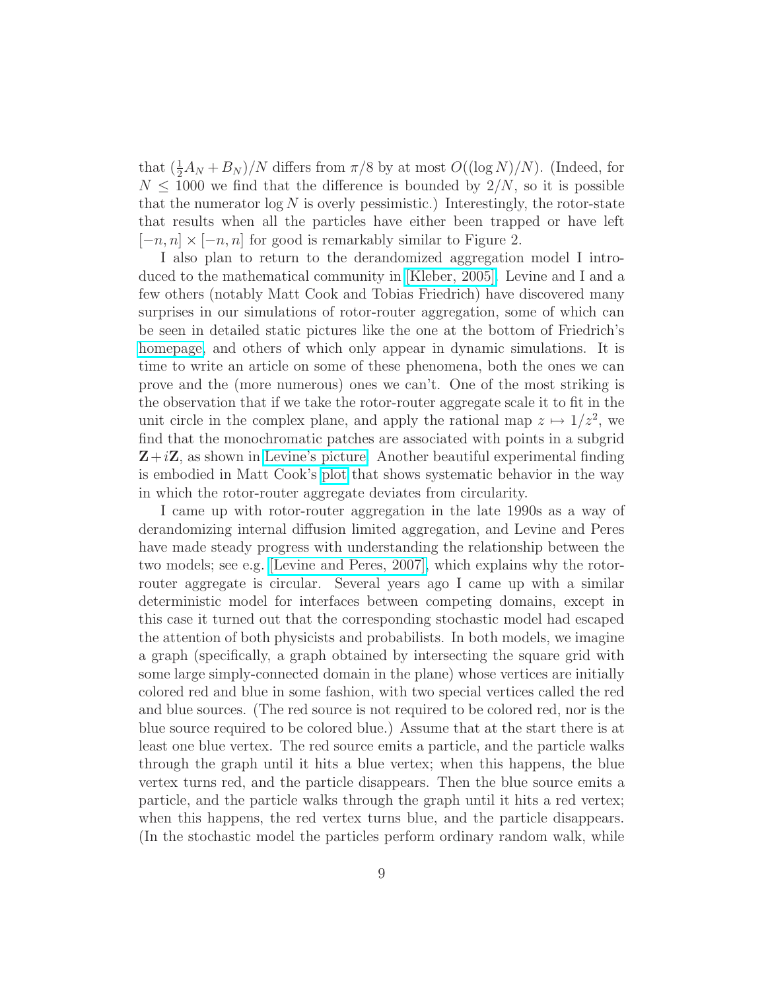that  $(\frac{1}{2}A_N + B_N)/N$  differs from  $\pi/8$  by at most  $O((\log N)/N)$ . (Indeed, for  $N \leq 1000$  we find that the difference is bounded by  $2/N$ , so it is possible that the numerator  $\log N$  is overly pessimistic.) Interestingly, the rotor-state that results when all the particles have either been trapped or have left  $[-n, n] \times [-n, n]$  for good is remarkably similar to Figure 2.

I also plan to return to the derandomized aggregation model I introduced to the mathematical community in [\[Kleber, 2005\].](http://arxiv.org/abs/math.CO/0501497) Levine and I and a few others (notably Matt Cook and Tobias Friedrich) have discovered many surprises in our simulations of rotor-router aggregation, some of which can be seen in detailed static pictures like the one at the bottom of Friedrich's [homepage,](http://www.mpi-inf.mpg.de/~tfried/) and others of which only appear in dynamic simulations. It is time to write an article on some of these phenomena, both the ones we can prove and the (more numerous) ones we can't. One of the most striking is the observation that if we take the rotor-router aggregate scale it to fit in the unit circle in the complex plane, and apply the rational map  $z \mapsto 1/z^2$ , we find that the monochromatic patches are associated with points in a subgrid  $Z+iZ$ , as shown in [Levine's picture.](http://math.mit.edu/~levine/gallery/inverted.html) Another beautiful experimental finding is embodied in Matt Cook's [plot](http://www.paradise.caltech.edu/~cook/Warehouse/ForPropp/bluewhite780217.png) that shows systematic behavior in the way in which the rotor-router aggregate deviates from circularity.

I came up with rotor-router aggregation in the late 1990s as a way of derandomizing internal diffusion limited aggregation, and Levine and Peres have made steady progress with understanding the relationship between the two models; see e.g. [\[Levine and Peres, 2007\],](http://arxiv.org/abs/0704.0688) which explains why the rotorrouter aggregate is circular. Several years ago I came up with a similar deterministic model for interfaces between competing domains, except in this case it turned out that the corresponding stochastic model had escaped the attention of both physicists and probabilists. In both models, we imagine a graph (specifically, a graph obtained by intersecting the square grid with some large simply-connected domain in the plane) whose vertices are initially colored red and blue in some fashion, with two special vertices called the red and blue sources. (The red source is not required to be colored red, nor is the blue source required to be colored blue.) Assume that at the start there is at least one blue vertex. The red source emits a particle, and the particle walks through the graph until it hits a blue vertex; when this happens, the blue vertex turns red, and the particle disappears. Then the blue source emits a particle, and the particle walks through the graph until it hits a red vertex; when this happens, the red vertex turns blue, and the particle disappears. (In the stochastic model the particles perform ordinary random walk, while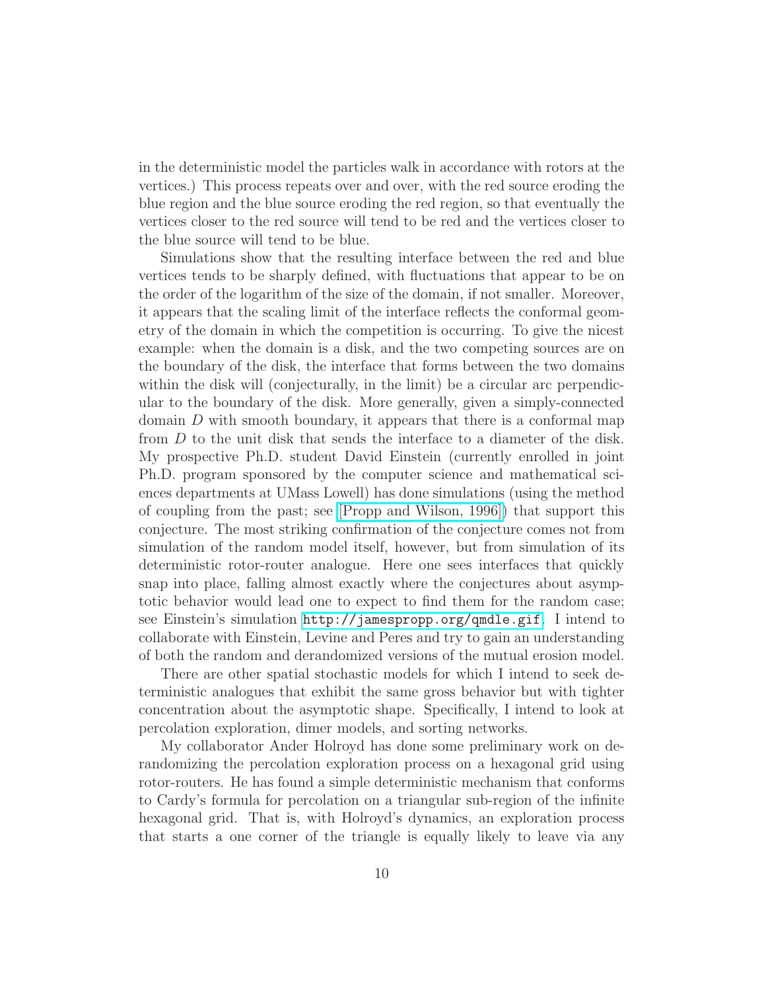in the deterministic model the particles walk in accordance with rotors at the vertices.) This process repeats over and over, with the red source eroding the blue region and the blue source eroding the red region, so that eventually the vertices closer to the red source will tend to be red and the vertices closer to the blue source will tend to be blue.

Simulations show that the resulting interface between the red and blue vertices tends to be sharply defined, with fluctuations that appear to be on the order of the logarithm of the size of the domain, if not smaller. Moreover, it appears that the scaling limit of the interface reflects the conformal geometry of the domain in which the competition is occurring. To give the nicest example: when the domain is a disk, and the two competing sources are on the boundary of the disk, the interface that forms between the two domains within the disk will (conjecturally, in the limit) be a circular arc perpendicular to the boundary of the disk. More generally, given a simply-connected domain D with smooth boundary, it appears that there is a conformal map from D to the unit disk that sends the interface to a diameter of the disk. My prospective Ph.D. student David Einstein (currently enrolled in joint Ph.D. program sponsored by the computer science and mathematical sciences departments at UMass Lowell) has done simulations (using the method of coupling from the past; see [\[Propp and Wilson, 1996\]\)](http://jamespropp.org/sample.html) that support this conjecture. The most striking confirmation of the conjecture comes not from simulation of the random model itself, however, but from simulation of its deterministic rotor-router analogue. Here one sees interfaces that quickly snap into place, falling almost exactly where the conjectures about asymptotic behavior would lead one to expect to find them for the random case; see Einstein's simulation <http://jamespropp.org/qmdle.gif>. I intend to collaborate with Einstein, Levine and Peres and try to gain an understanding of both the random and derandomized versions of the mutual erosion model.

There are other spatial stochastic models for which I intend to seek deterministic analogues that exhibit the same gross behavior but with tighter concentration about the asymptotic shape. Specifically, I intend to look at percolation exploration, dimer models, and sorting networks.

My collaborator Ander Holroyd has done some preliminary work on derandomizing the percolation exploration process on a hexagonal grid using rotor-routers. He has found a simple deterministic mechanism that conforms to Cardy's formula for percolation on a triangular sub-region of the infinite hexagonal grid. That is, with Holroyd's dynamics, an exploration process that starts a one corner of the triangle is equally likely to leave via any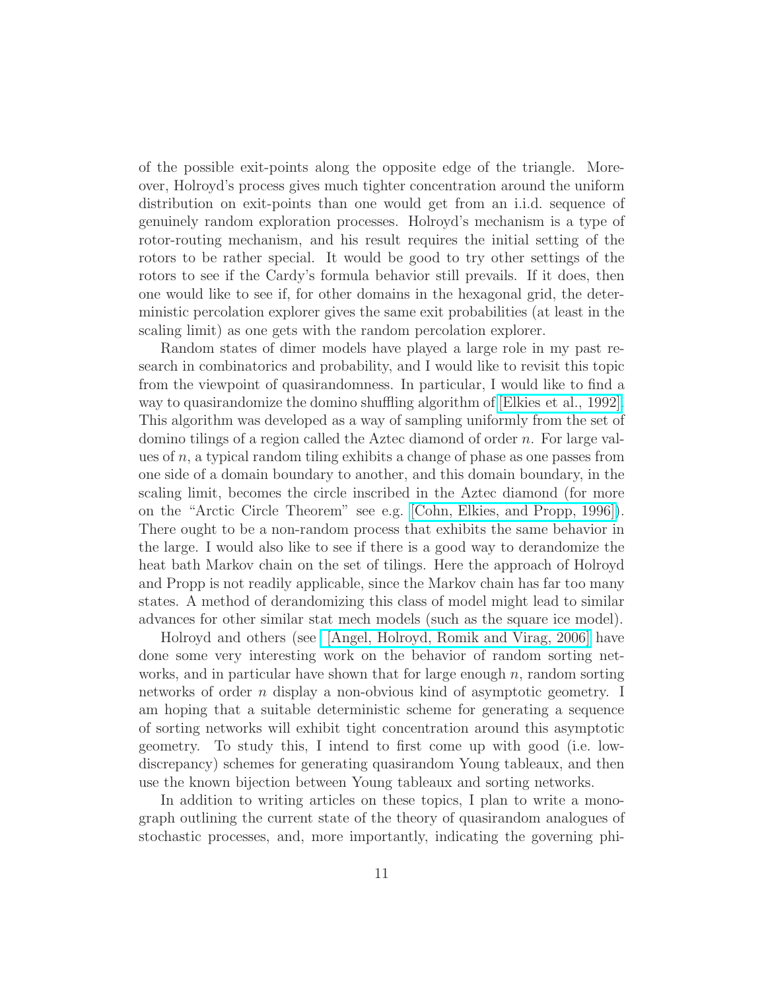of the possible exit-points along the opposite edge of the triangle. Moreover, Holroyd's process gives much tighter concentration around the uniform distribution on exit-points than one would get from an i.i.d. sequence of genuinely random exploration processes. Holroyd's mechanism is a type of rotor-routing mechanism, and his result requires the initial setting of the rotors to be rather special. It would be good to try other settings of the rotors to see if the Cardy's formula behavior still prevails. If it does, then one would like to see if, for other domains in the hexagonal grid, the deterministic percolation explorer gives the same exit probabilities (at least in the scaling limit) as one gets with the random percolation explorer.

Random states of dimer models have played a large role in my past research in combinatorics and probability, and I would like to revisit this topic from the viewpoint of quasirandomness. In particular, I would like to find a way to quasirandomize the domino shuffling algorithm of [\[Elkies et al., 1992\].](http://arxiv.org/abs/math/9201305) This algorithm was developed as a way of sampling uniformly from the set of domino tilings of a region called the Aztec diamond of order n. For large values of  $n$ , a typical random tiling exhibits a change of phase as one passes from one side of a domain boundary to another, and this domain boundary, in the scaling limit, becomes the circle inscribed in the Aztec diamond (for more on the "Arctic Circle Theorem" see e.g. [\[Cohn, Elkies, and Propp, 1996\]\)](http://arxiv.org/abs/math.CO/0008243). There ought to be a non-random process that exhibits the same behavior in the large. I would also like to see if there is a good way to derandomize the heat bath Markov chain on the set of tilings. Here the approach of Holroyd and Propp is not readily applicable, since the Markov chain has far too many states. A method of derandomizing this class of model might lead to similar advances for other similar stat mech models (such as the square ice model).

Holroyd and others (see [\[Angel, Holroyd, Romik and Virag, 2006\]](http://arxiv.org/abs/math.PR/0609538) have done some very interesting work on the behavior of random sorting networks, and in particular have shown that for large enough  $n$ , random sorting networks of order n display a non-obvious kind of asymptotic geometry. I am hoping that a suitable deterministic scheme for generating a sequence of sorting networks will exhibit tight concentration around this asymptotic geometry. To study this, I intend to first come up with good (i.e. lowdiscrepancy) schemes for generating quasirandom Young tableaux, and then use the known bijection between Young tableaux and sorting networks.

In addition to writing articles on these topics, I plan to write a monograph outlining the current state of the theory of quasirandom analogues of stochastic processes, and, more importantly, indicating the governing phi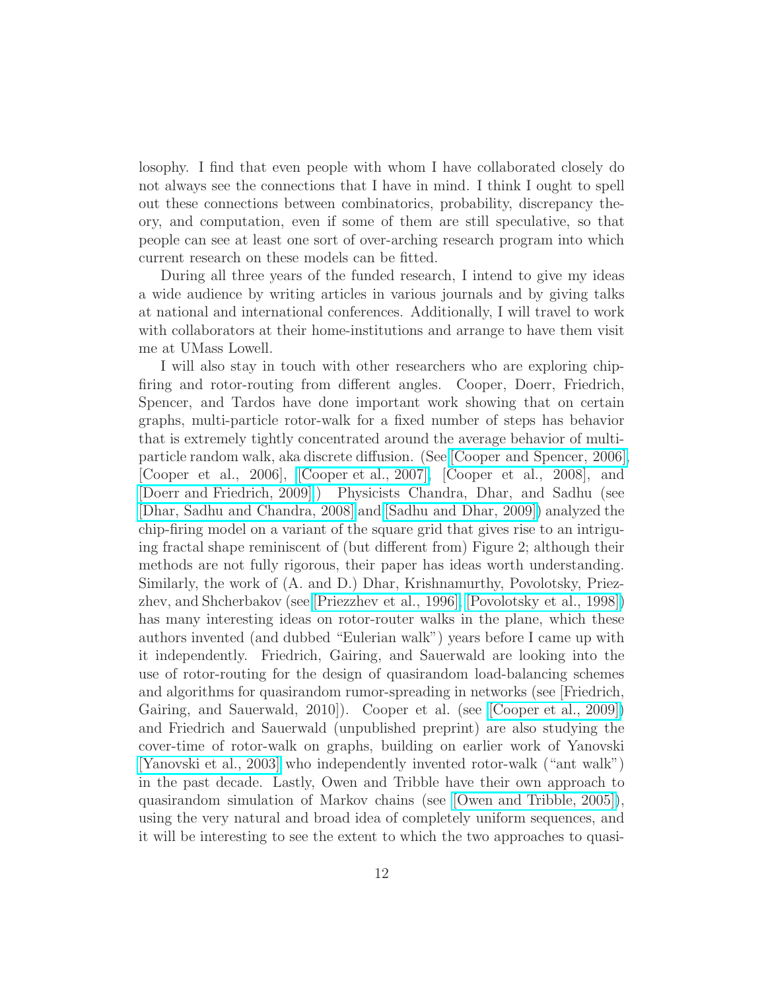losophy. I find that even people with whom I have collaborated closely do not always see the connections that I have in mind. I think I ought to spell out these connections between combinatorics, probability, discrepancy theory, and computation, even if some of them are still speculative, so that people can see at least one sort of over-arching research program into which current research on these models can be fitted.

During all three years of the funded research, I intend to give my ideas a wide audience by writing articles in various journals and by giving talks at national and international conferences. Additionally, I will travel to work with collaborators at their home-institutions and arrange to have them visit me at UMass Lowell.

I will also stay in touch with other researchers who are exploring chipfiring and rotor-routing from different angles. Cooper, Doerr, Friedrich, Spencer, and Tardos have done important work showing that on certain graphs, multi-particle rotor-walk for a fixed number of steps has behavior that is extremely tightly concentrated around the average behavior of multiparticle random walk, aka discrete diffusion. (See [\[Cooper and Spencer, 2006\],](http://arxiv.org/abs/math.CO/0402323) [Cooper et al., 2006], [\[Cooper et al., 2007\],](http://arxiv.org/abs/math.CO/0602300) [Cooper et al., 2008], and [\[Doerr and Friedrich, 2009\].](http://arxiv.org/abs/math.CO/0703453)) Physicists Chandra, Dhar, and Sadhu (see [\[Dhar, Sadhu and Chandra, 2008\]](http://arxiv.org/abs/0808.1732) and [\[Sadhu and Dhar, 2009\]\)](http://arxiv.org/abs/0909.3192) analyzed the chip-firing model on a variant of the square grid that gives rise to an intriguing fractal shape reminiscent of (but different from) Figure 2; although their methods are not fully rigorous, their paper has ideas worth understanding. Similarly, the work of (A. and D.) Dhar, Krishnamurthy, Povolotsky, Priezzhev, and Shcherbakov (see [\[Priezzhev et al., 1996\],](http://arxiv.org/abs/cond-mat/9611019) [\[Povolotsky et al., 1998\]\)](http://arxiv.org/abs/cond-mat/9802070) has many interesting ideas on rotor-router walks in the plane, which these authors invented (and dubbed "Eulerian walk") years before I came up with it independently. Friedrich, Gairing, and Sauerwald are looking into the use of rotor-routing for the design of quasirandom load-balancing schemes and algorithms for quasirandom rumor-spreading in networks (see [Friedrich, Gairing, and Sauerwald, 2010]). Cooper et al. (see [\[Cooper et al., 2009\]\)](http://www.labri.fr/perso/ilcinkas/publications/ICALP2009.pdf) and Friedrich and Sauerwald (unpublished preprint) are also studying the cover-time of rotor-walk on graphs, building on earlier work of Yanovski [\[Yanovski et al., 2003\]](http://dx.doi.org/10.1007/s00453-003-1030-9) who independently invented rotor-walk ("ant walk") in the past decade. Lastly, Owen and Tribble have their own approach to quasirandom simulation of Markov chains (see [\[Owen and Tribble, 2005\]\)](http://www.pnas.org/cgi/content/full/102/25/8844), using the very natural and broad idea of completely uniform sequences, and it will be interesting to see the extent to which the two approaches to quasi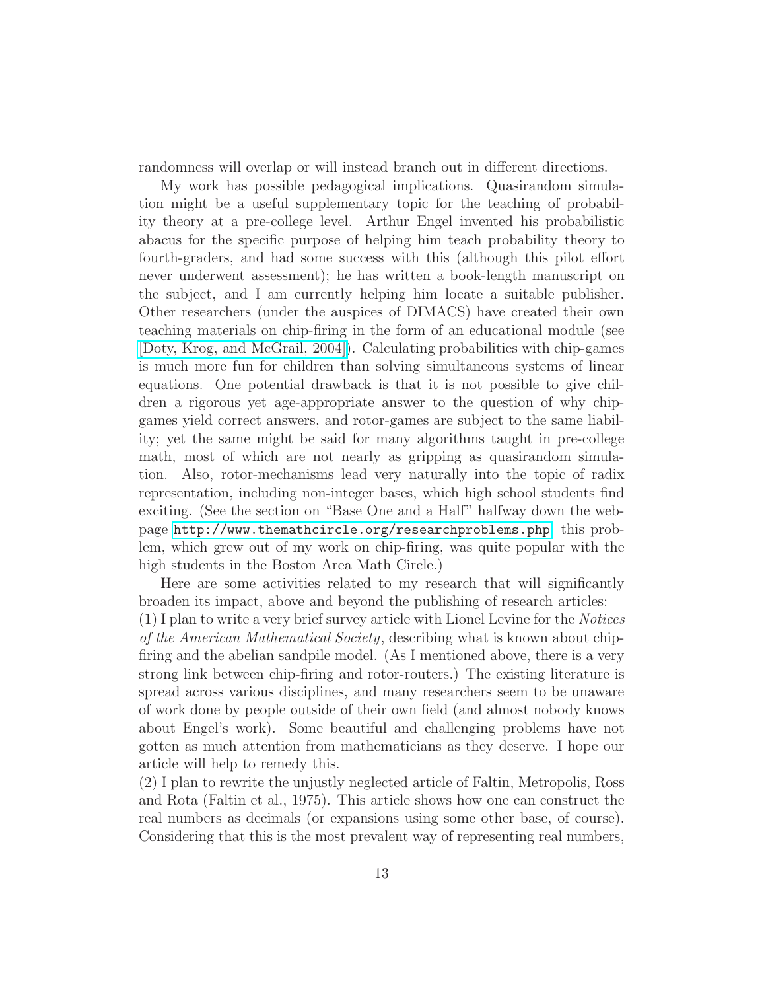randomness will overlap or will instead branch out in different directions.

My work has possible pedagogical implications. Quasirandom simulation might be a useful supplementary topic for the teaching of probability theory at a pre-college level. Arthur Engel invented his probabilistic abacus for the specific purpose of helping him teach probability theory to fourth-graders, and had some success with this (although this pilot effort never underwent assessment); he has written a book-length manuscript on the subject, and I am currently helping him locate a suitable publisher. Other researchers (under the auspices of DIMACS) have created their own teaching materials on chip-firing in the form of an educational module (see [\[Doty, Krog, and McGrail, 2004\]\)](http://dimacs.rutgers.edu/Publications/Modules/Module04-1/abstract04-1.pdf). Calculating probabilities with chip-games is much more fun for children than solving simultaneous systems of linear equations. One potential drawback is that it is not possible to give children a rigorous yet age-appropriate answer to the question of why chipgames yield correct answers, and rotor-games are subject to the same liability; yet the same might be said for many algorithms taught in pre-college math, most of which are not nearly as gripping as quasirandom simulation. Also, rotor-mechanisms lead very naturally into the topic of radix representation, including non-integer bases, which high school students find exciting. (See the section on "Base One and a Half" halfway down the webpage <http://www.themathcircle.org/researchproblems.php>; this problem, which grew out of my work on chip-firing, was quite popular with the high students in the Boston Area Math Circle.)

Here are some activities related to my research that will significantly broaden its impact, above and beyond the publishing of research articles: (1) I plan to write a very brief survey article with Lionel Levine for the Notices of the American Mathematical Society, describing what is known about chipfiring and the abelian sandpile model. (As I mentioned above, there is a very strong link between chip-firing and rotor-routers.) The existing literature is spread across various disciplines, and many researchers seem to be unaware of work done by people outside of their own field (and almost nobody knows about Engel's work). Some beautiful and challenging problems have not gotten as much attention from mathematicians as they deserve. I hope our article will help to remedy this.

(2) I plan to rewrite the unjustly neglected article of Faltin, Metropolis, Ross and Rota (Faltin et al., 1975). This article shows how one can construct the real numbers as decimals (or expansions using some other base, of course). Considering that this is the most prevalent way of representing real numbers,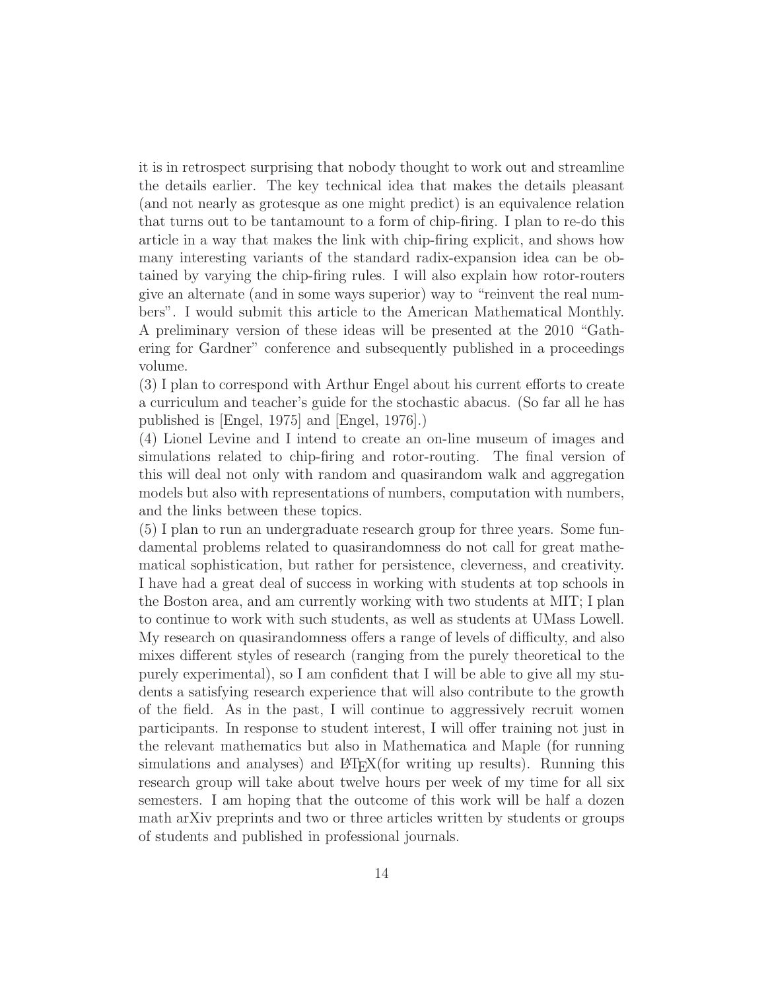it is in retrospect surprising that nobody thought to work out and streamline the details earlier. The key technical idea that makes the details pleasant (and not nearly as grotesque as one might predict) is an equivalence relation that turns out to be tantamount to a form of chip-firing. I plan to re-do this article in a way that makes the link with chip-firing explicit, and shows how many interesting variants of the standard radix-expansion idea can be obtained by varying the chip-firing rules. I will also explain how rotor-routers give an alternate (and in some ways superior) way to "reinvent the real numbers". I would submit this article to the American Mathematical Monthly. A preliminary version of these ideas will be presented at the 2010 "Gathering for Gardner" conference and subsequently published in a proceedings volume.

(3) I plan to correspond with Arthur Engel about his current efforts to create a curriculum and teacher's guide for the stochastic abacus. (So far all he has published is [Engel, 1975] and [Engel, 1976].)

(4) Lionel Levine and I intend to create an on-line museum of images and simulations related to chip-firing and rotor-routing. The final version of this will deal not only with random and quasirandom walk and aggregation models but also with representations of numbers, computation with numbers, and the links between these topics.

(5) I plan to run an undergraduate research group for three years. Some fundamental problems related to quasirandomness do not call for great mathematical sophistication, but rather for persistence, cleverness, and creativity. I have had a great deal of success in working with students at top schools in the Boston area, and am currently working with two students at MIT; I plan to continue to work with such students, as well as students at UMass Lowell. My research on quasirandomness offers a range of levels of difficulty, and also mixes different styles of research (ranging from the purely theoretical to the purely experimental), so I am confident that I will be able to give all my students a satisfying research experience that will also contribute to the growth of the field. As in the past, I will continue to aggressively recruit women participants. In response to student interest, I will offer training not just in the relevant mathematics but also in Mathematica and Maple (for running simulations and analyses) and  $\text{ETr}X$ (for writing up results). Running this research group will take about twelve hours per week of my time for all six semesters. I am hoping that the outcome of this work will be half a dozen math arXiv preprints and two or three articles written by students or groups of students and published in professional journals.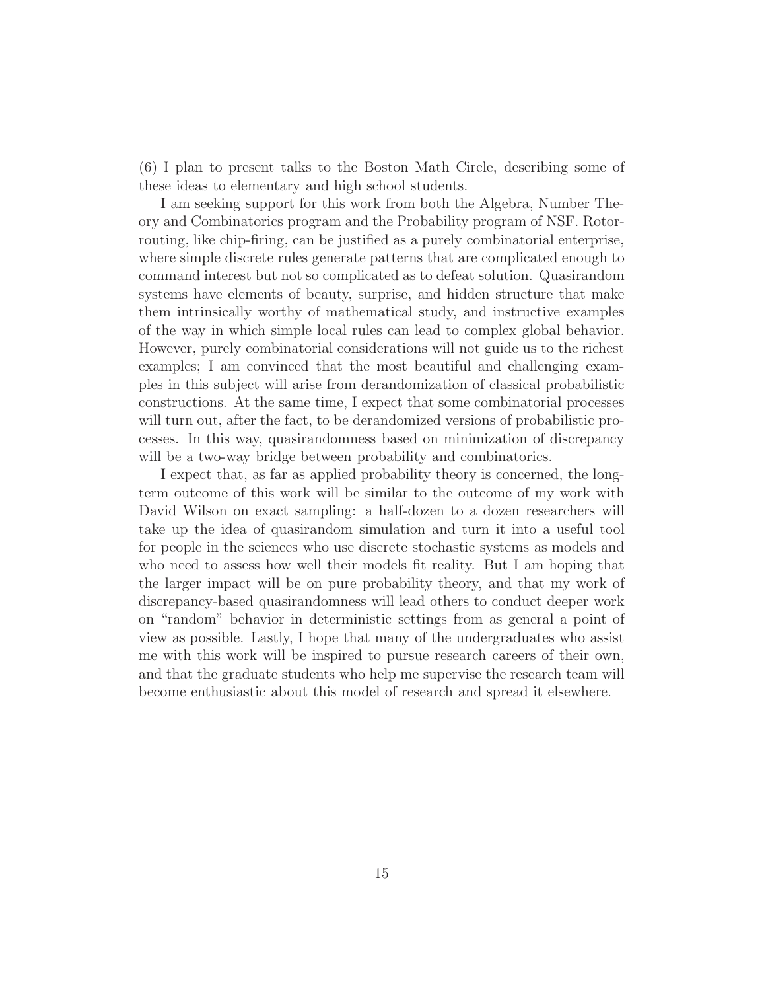(6) I plan to present talks to the Boston Math Circle, describing some of these ideas to elementary and high school students.

I am seeking support for this work from both the Algebra, Number Theory and Combinatorics program and the Probability program of NSF. Rotorrouting, like chip-firing, can be justified as a purely combinatorial enterprise, where simple discrete rules generate patterns that are complicated enough to command interest but not so complicated as to defeat solution. Quasirandom systems have elements of beauty, surprise, and hidden structure that make them intrinsically worthy of mathematical study, and instructive examples of the way in which simple local rules can lead to complex global behavior. However, purely combinatorial considerations will not guide us to the richest examples; I am convinced that the most beautiful and challenging examples in this subject will arise from derandomization of classical probabilistic constructions. At the same time, I expect that some combinatorial processes will turn out, after the fact, to be derandomized versions of probabilistic processes. In this way, quasirandomness based on minimization of discrepancy will be a two-way bridge between probability and combinatorics.

I expect that, as far as applied probability theory is concerned, the longterm outcome of this work will be similar to the outcome of my work with David Wilson on exact sampling: a half-dozen to a dozen researchers will take up the idea of quasirandom simulation and turn it into a useful tool for people in the sciences who use discrete stochastic systems as models and who need to assess how well their models fit reality. But I am hoping that the larger impact will be on pure probability theory, and that my work of discrepancy-based quasirandomness will lead others to conduct deeper work on "random" behavior in deterministic settings from as general a point of view as possible. Lastly, I hope that many of the undergraduates who assist me with this work will be inspired to pursue research careers of their own, and that the graduate students who help me supervise the research team will become enthusiastic about this model of research and spread it elsewhere.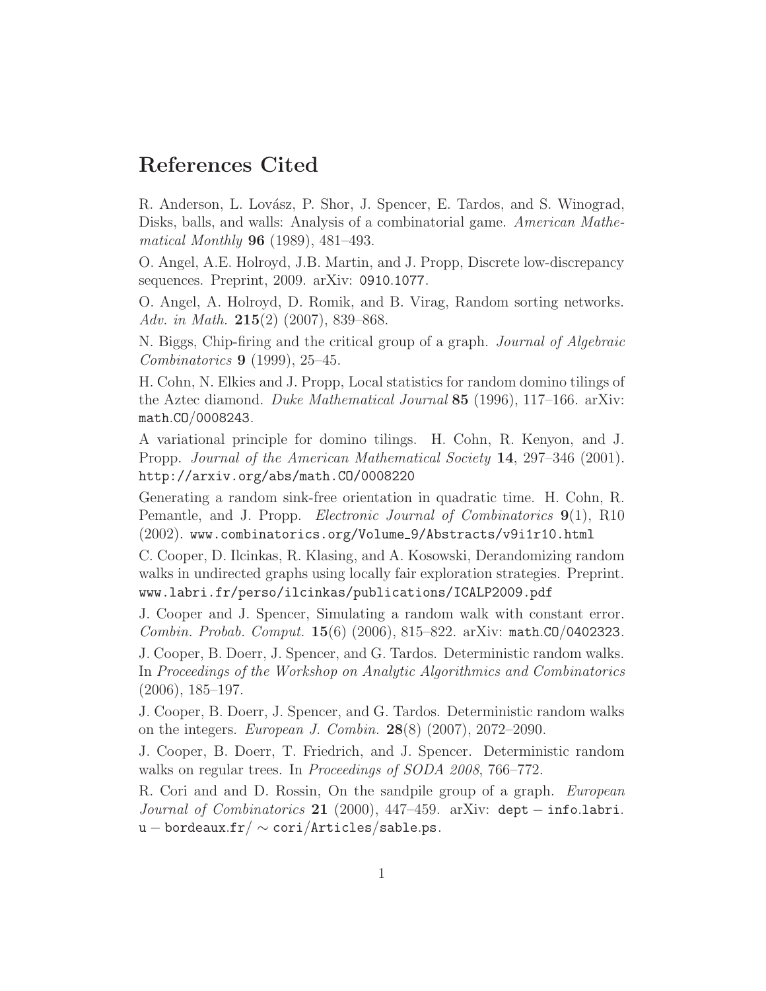# References Cited

R. Anderson, L. Lovász, P. Shor, J. Spencer, E. Tardos, and S. Winograd, Disks, balls, and walls: Analysis of a combinatorial game. American Mathematical Monthly 96 (1989), 481–493.

O. Angel, A.E. Holroyd, J.B. Martin, and J. Propp, Discrete low-discrepancy sequences. Preprint, 2009. arXiv: 0910.1077.

O. Angel, A. Holroyd, D. Romik, and B. Virag, Random sorting networks. Adv. in Math.  $215(2)$  (2007), 839–868.

N. Biggs, Chip-firing and the critical group of a graph. Journal of Algebraic Combinatorics 9 (1999), 25–45.

H. Cohn, N. Elkies and J. Propp, Local statistics for random domino tilings of the Aztec diamond. Duke Mathematical Journal 85 (1996), 117–166. arXiv: math.CO/0008243.

A variational principle for domino tilings. H. Cohn, R. Kenyon, and J. Propp. Journal of the American Mathematical Society 14, 297–346 (2001). http://arxiv.org/abs/math.CO/0008220

Generating a random sink-free orientation in quadratic time. H. Cohn, R. Pemantle, and J. Propp. *Electronic Journal of Combinatorics* **9**(1), R10  $(2002)$ . www.combinatorics.org/Volume\_9/Abstracts/v9i1r10.html

C. Cooper, D. Ilcinkas, R. Klasing, and A. Kosowski, Derandomizing random walks in undirected graphs using locally fair exploration strategies. Preprint. www.labri.fr/perso/ilcinkas/publications/ICALP2009.pdf

J. Cooper and J. Spencer, Simulating a random walk with constant error. Combin. Probab. Comput. 15(6) (2006), 815–822. arXiv: math.CO/0402323.

J. Cooper, B. Doerr, J. Spencer, and G. Tardos. Deterministic random walks. In Proceedings of the Workshop on Analytic Algorithmics and Combinatorics (2006), 185–197.

J. Cooper, B. Doerr, J. Spencer, and G. Tardos. Deterministic random walks on the integers. European J. Combin. 28(8) (2007), 2072–2090.

J. Cooper, B. Doerr, T. Friedrich, and J. Spencer. Deterministic random walks on regular trees. In *Proceedings of SODA 2008*, 766–772.

R. Cori and and D. Rossin, On the sandpile group of a graph. European Journal of Combinatorics 21 (2000), 447–459. arXiv: dept – info.labri. u – bordeaux.fr/  $\sim$  cori/Articles/sable.ps.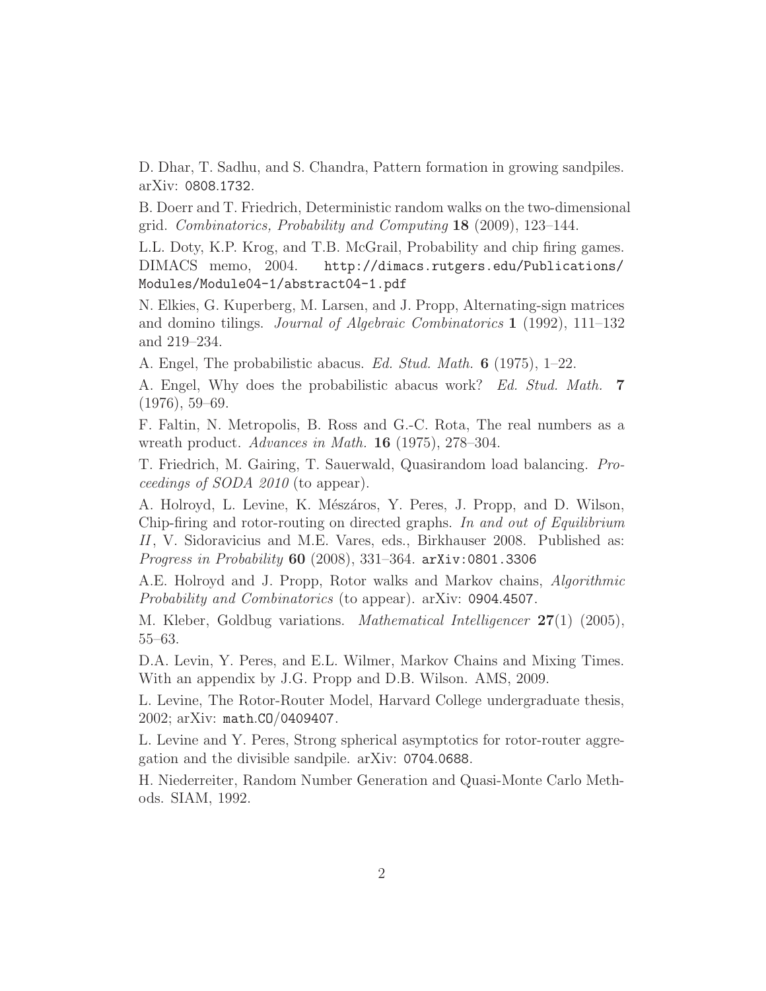D. Dhar, T. Sadhu, and S. Chandra, Pattern formation in growing sandpiles. arXiv: 0808.1732.

B. Doerr and T. Friedrich, Deterministic random walks on the two-dimensional grid. Combinatorics, Probability and Computing 18 (2009), 123–144.

L.L. Doty, K.P. Krog, and T.B. McGrail, Probability and chip firing games. DIMACS memo, 2004. http://dimacs.rutgers.edu/Publications/ Modules/Module04-1/abstract04-1.pdf

N. Elkies, G. Kuperberg, M. Larsen, and J. Propp, Alternating-sign matrices and domino tilings. Journal of Algebraic Combinatorics 1 (1992), 111–132 and 219–234.

A. Engel, The probabilistic abacus. Ed. Stud. Math. 6 (1975), 1–22.

A. Engel, Why does the probabilistic abacus work? Ed. Stud. Math. 7 (1976), 59–69.

F. Faltin, N. Metropolis, B. Ross and G.-C. Rota, The real numbers as a wreath product. Advances in Math. 16 (1975), 278–304.

T. Friedrich, M. Gairing, T. Sauerwald, Quasirandom load balancing. Proceedings of SODA 2010 (to appear).

A. Holroyd, L. Levine, K. Mészáros, Y. Peres, J. Propp, and D. Wilson, Chip-firing and rotor-routing on directed graphs. In and out of Equilibrium II, V. Sidoravicius and M.E. Vares, eds., Birkhauser 2008. Published as: Progress in Probability 60 (2008), 331–364. arXiv:0801.3306

A.E. Holroyd and J. Propp, Rotor walks and Markov chains, Algorithmic Probability and Combinatorics (to appear). arXiv: 0904.4507.

M. Kleber, Goldbug variations. Mathematical Intelligencer 27(1) (2005), 55–63.

D.A. Levin, Y. Peres, and E.L. Wilmer, Markov Chains and Mixing Times. With an appendix by J.G. Propp and D.B. Wilson. AMS, 2009.

L. Levine, The Rotor-Router Model, Harvard College undergraduate thesis, 2002; arXiv: math.CO/0409407.

L. Levine and Y. Peres, Strong spherical asymptotics for rotor-router aggregation and the divisible sandpile. arXiv: 0704.0688.

H. Niederreiter, Random Number Generation and Quasi-Monte Carlo Methods. SIAM, 1992.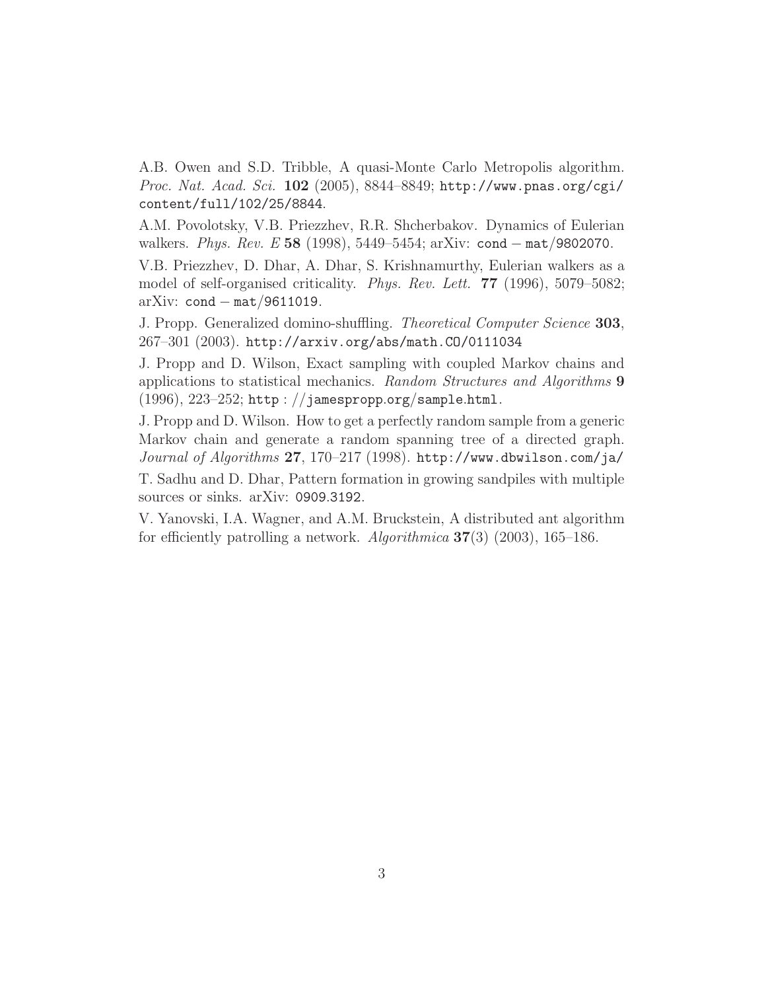A.B. Owen and S.D. Tribble, A quasi-Monte Carlo Metropolis algorithm. Proc. Nat. Acad. Sci. 102 (2005), 8844–8849; http://www.pnas.org/cgi/ content/full/102/25/8844.

A.M. Povolotsky, V.B. Priezzhev, R.R. Shcherbakov. Dynamics of Eulerian walkers. Phys. Rev. E 58 (1998), 5449–5454; arXiv: cond – mat/9802070.

V.B. Priezzhev, D. Dhar, A. Dhar, S. Krishnamurthy, Eulerian walkers as a model of self-organised criticality. Phys. Rev. Lett. 77 (1996), 5079–5082; arXiv:  $cond - mat/9611019$ .

J. Propp. Generalized domino-shuffling. Theoretical Computer Science 303, 267–301 (2003). http://arxiv.org/abs/math.CO/0111034

J. Propp and D. Wilson, Exact sampling with coupled Markov chains and applications to statistical mechanics. Random Structures and Algorithms 9  $(1996), 223-252;$  http://jamespropp.org/sample.html.

J. Propp and D. Wilson. How to get a perfectly random sample from a generic Markov chain and generate a random spanning tree of a directed graph. Journal of Algorithms 27, 170-217 (1998). http://www.dbwilson.com/ja/

T. Sadhu and D. Dhar, Pattern formation in growing sandpiles with multiple sources or sinks. arXiv: 0909.3192.

V. Yanovski, I.A. Wagner, and A.M. Bruckstein, A distributed ant algorithm for efficiently patrolling a network. Algorithmica  $37(3)$  (2003), 165–186.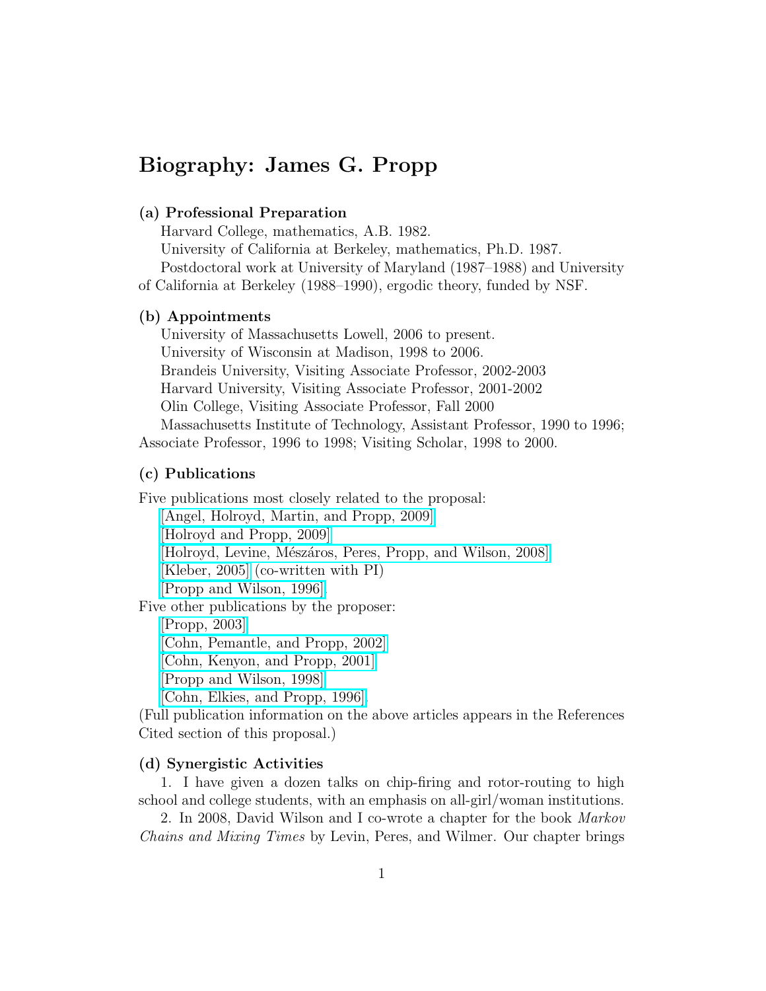# Biography: James G. Propp

### (a) Professional Preparation

Harvard College, mathematics, A.B. 1982.

University of California at Berkeley, mathematics, Ph.D. 1987. Postdoctoral work at University of Maryland (1987–1988) and University of California at Berkeley (1988–1990), ergodic theory, funded by NSF.

#### (b) Appointments

University of Massachusetts Lowell, 2006 to present. University of Wisconsin at Madison, 1998 to 2006. Brandeis University, Visiting Associate Professor, 2002-2003 Harvard University, Visiting Associate Professor, 2001-2002 Olin College, Visiting Associate Professor, Fall 2000 Massachusetts Institute of Technology, Assistant Professor, 1990 to 1996; Associate Professor, 1996 to 1998; Visiting Scholar, 1998 to 2000.

#### (c) Publications

Five publications most closely related to the proposal: [\[Angel, Holroyd, Martin, and Propp, 2009\]](http://arxiv.org/abs/0910.1077) [\[Holroyd and Propp, 2009\]](http://arxiv.org/abs/0904.4507) [Holroyd, Levine, Mészáros, Peres, Propp, and Wilson, 2008] [\[Kleber, 2005\]](http://arxiv.org/abs/math/0501497) (co-written with PI) [\[Propp and Wilson, 1996\].](http://jamespropp.org/sample.html) Five other publications by the proposer: [\[Propp, 2003\]](http://arxiv.org/abs/math.CO/0111034) [\[Cohn, Pemantle, and Propp, 2002\]](http://www.combinatorics.org/Volume_9/Abstracts/v9i1r10.html) [\[Cohn, Kenyon, and Propp, 2001\]](http://arxiv.org/abs/math.CO/0008220) [\[Propp and Wilson, 1998\]](http://www.dbwilson.com/ja/)

[\[Cohn, Elkies, and Propp, 1996\].](http://arxiv.org/abs/math.CO/0008243)

(Full publication information on the above articles appears in the References Cited section of this proposal.)

#### (d) Synergistic Activities

1. I have given a dozen talks on chip-firing and rotor-routing to high school and college students, with an emphasis on all-girl/woman institutions.

2. In 2008, David Wilson and I co-wrote a chapter for the book Markov Chains and Mixing Times by Levin, Peres, and Wilmer. Our chapter brings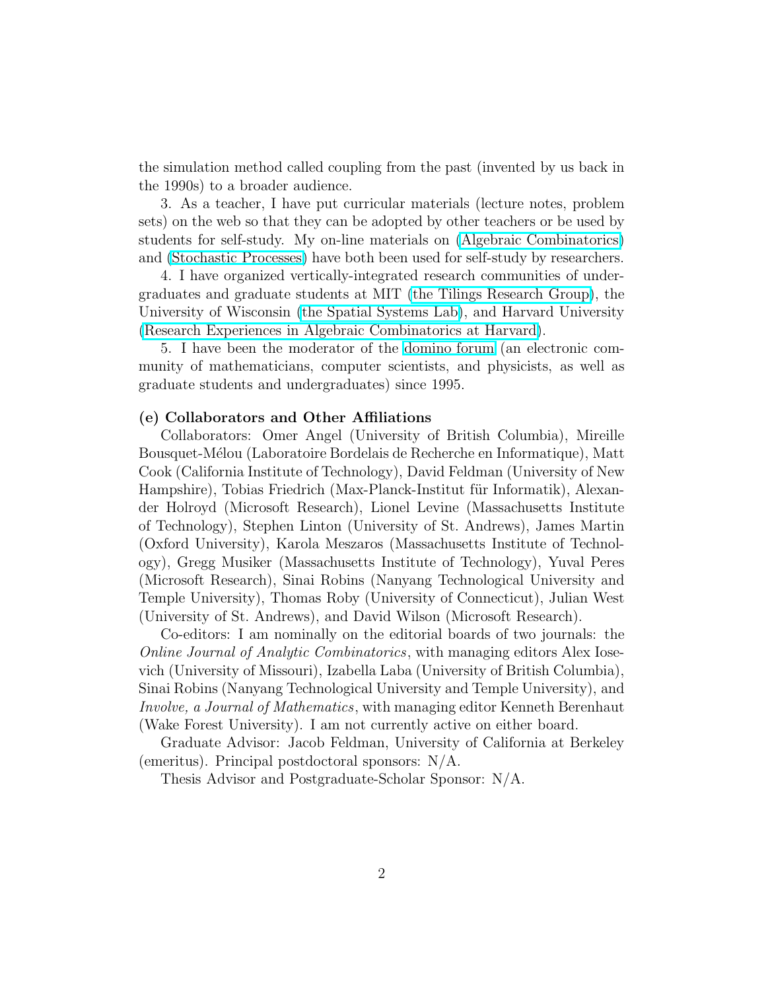the simulation method called coupling from the past (invented by us back in the 1990s) to a broader audience.

3. As a teacher, I have put curricular materials (lecture notes, problem sets) on the web so that they can be adopted by other teachers or be used by students for self-study. My on-line materials on [\(Algebraic Combinatorics\)](http://jamespropp.org/192/) and [\(Stochastic Processes\)](http://faculty.uml.edu/jpropp/584/) have both been used for self-study by researchers.

4. I have organized vertically-integrated research communities of undergraduates and graduate students at MIT [\(the Tilings Research Group\)](http://jamespropp.org/tiling/), the University of Wisconsin [\(the Spatial Systems Lab\)](http://jamespropp.org/SSL/), and Harvard University [\(Research Experiences in Algebraic Combinatorics at Harvard\)](http://jamespropp.org/reach/).

5. I have been the moderator of the [domino forum](http://jamespropp.org/about-domino.txt) (an electronic community of mathematicians, computer scientists, and physicists, as well as graduate students and undergraduates) since 1995.

#### (e) Collaborators and Other Affiliations

Collaborators: Omer Angel (University of British Columbia), Mireille Bousquet-Mélou (Laboratoire Bordelais de Recherche en Informatique), Matt Cook (California Institute of Technology), David Feldman (University of New Hampshire), Tobias Friedrich (Max-Planck-Institut für Informatik), Alexander Holroyd (Microsoft Research), Lionel Levine (Massachusetts Institute of Technology), Stephen Linton (University of St. Andrews), James Martin (Oxford University), Karola Meszaros (Massachusetts Institute of Technology), Gregg Musiker (Massachusetts Institute of Technology), Yuval Peres (Microsoft Research), Sinai Robins (Nanyang Technological University and Temple University), Thomas Roby (University of Connecticut), Julian West (University of St. Andrews), and David Wilson (Microsoft Research).

Co-editors: I am nominally on the editorial boards of two journals: the Online Journal of Analytic Combinatorics, with managing editors Alex Iosevich (University of Missouri), Izabella Laba (University of British Columbia), Sinai Robins (Nanyang Technological University and Temple University), and Involve, a Journal of Mathematics, with managing editor Kenneth Berenhaut (Wake Forest University). I am not currently active on either board.

Graduate Advisor: Jacob Feldman, University of California at Berkeley (emeritus). Principal postdoctoral sponsors: N/A.

Thesis Advisor and Postgraduate-Scholar Sponsor: N/A.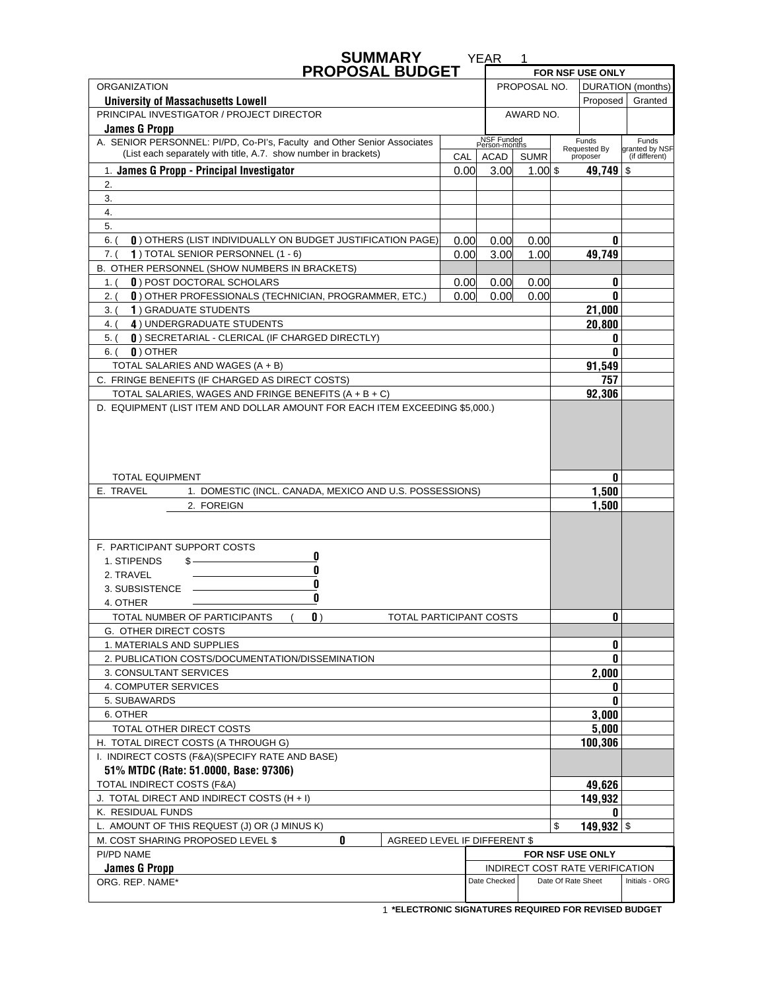| <b>SUMMARY</b>                                                                                                                       |                   | <b>YEAR</b>                 | 1           |  |                                 |                                  |
|--------------------------------------------------------------------------------------------------------------------------------------|-------------------|-----------------------------|-------------|--|---------------------------------|----------------------------------|
| <b>PROPOSAL BUDGET</b>                                                                                                               |                   |                             |             |  | FOR NSF USE ONLY                |                                  |
| <b>ORGANIZATION</b><br>PROPOSAL NO.                                                                                                  |                   |                             |             |  |                                 | DURATION (months)                |
| <b>University of Massachusetts Lowell</b>                                                                                            |                   |                             |             |  | Proposed                        | Granted                          |
| PRINCIPAL INVESTIGATOR / PROJECT DIRECTOR                                                                                            | AWARD NO.         |                             |             |  |                                 |                                  |
| <b>James G Propp</b><br>A. SENIOR PERSONNEL: PI/PD, Co-PI's, Faculty and Other Senior Associates                                     |                   | NSF Funded<br>Person-months |             |  | Funds                           | Funds                            |
| (List each separately with title, A.7. show number in brackets)                                                                      | CAL               | ACAD                        | <b>SUMR</b> |  | Requested By<br>proposer        | granted by NSF<br>(if different) |
| 1. James G Propp - Principal Investigator                                                                                            | 0.00 <sub>l</sub> | 3.00                        | $1.00$ \$   |  | 49,749 $\frac{1}{3}$            |                                  |
| 2.                                                                                                                                   |                   |                             |             |  |                                 |                                  |
| 3.                                                                                                                                   |                   |                             |             |  |                                 |                                  |
| 4.                                                                                                                                   |                   |                             |             |  |                                 |                                  |
| 5.                                                                                                                                   |                   |                             |             |  |                                 |                                  |
| 0) OTHERS (LIST INDIVIDUALLY ON BUDGET JUSTIFICATION PAGE)<br>$6.$ $($                                                               | 0.00              | 0.00                        | 0.00        |  | 0                               |                                  |
| 1) TOTAL SENIOR PERSONNEL (1 - 6)<br>7. (                                                                                            | 0.00              | 3.00                        | 1.00        |  | 49,749                          |                                  |
| B. OTHER PERSONNEL (SHOW NUMBERS IN BRACKETS)                                                                                        |                   |                             |             |  |                                 |                                  |
| <b>0</b> ) POST DOCTORAL SCHOLARS<br>1. (                                                                                            | 0.00              | 0.00                        | 0.00        |  | 0                               |                                  |
| 0) OTHER PROFESSIONALS (TECHNICIAN, PROGRAMMER, ETC.)<br>2. (                                                                        | 0.00 <sub>l</sub> | 0.00                        | 0.00        |  | 0                               |                                  |
| 1) GRADUATE STUDENTS<br>3. (                                                                                                         |                   |                             |             |  | 21,000                          |                                  |
| 4) UNDERGRADUATE STUDENTS<br>4. (                                                                                                    |                   |                             |             |  | 20,800                          |                                  |
| () SECRETARIAL - CLERICAL (IF CHARGED DIRECTLY)<br>$5.$ (                                                                            |                   |                             |             |  | 0                               |                                  |
| $\mathbf{0}$ ) OTHER<br>$6.$ (                                                                                                       |                   |                             |             |  | 0                               |                                  |
| TOTAL SALARIES AND WAGES (A + B)                                                                                                     |                   |                             |             |  | 91,549                          |                                  |
| C. FRINGE BENEFITS (IF CHARGED AS DIRECT COSTS)                                                                                      |                   |                             |             |  | 757                             |                                  |
| TOTAL SALARIES, WAGES AND FRINGE BENEFITS (A + B + C)<br>D. EQUIPMENT (LIST ITEM AND DOLLAR AMOUNT FOR EACH ITEM EXCEEDING \$5,000.) |                   |                             |             |  | 92,306                          |                                  |
|                                                                                                                                      |                   |                             |             |  |                                 |                                  |
| <b>TOTAL EQUIPMENT</b>                                                                                                               |                   | 0                           |             |  |                                 |                                  |
| E. TRAVEL<br>1. DOMESTIC (INCL. CANADA, MEXICO AND U.S. POSSESSIONS)                                                                 |                   |                             | 1,500       |  |                                 |                                  |
| 2. FOREIGN                                                                                                                           |                   |                             | 1,500       |  |                                 |                                  |
|                                                                                                                                      |                   |                             |             |  |                                 |                                  |
| F. PARTICIPANT SUPPORT COSTS                                                                                                         |                   |                             |             |  |                                 |                                  |
| 0<br>1. STIPENDS<br>\$-                                                                                                              |                   |                             |             |  |                                 |                                  |
| 0<br>2. TRAVEL                                                                                                                       |                   |                             |             |  |                                 |                                  |
| 0<br>3. SUBSISTENCE                                                                                                                  |                   |                             |             |  |                                 |                                  |
| 0<br>4. OTHER                                                                                                                        |                   |                             |             |  |                                 |                                  |
| TOTAL NUMBER OF PARTICIPANTS<br>$\mathbf{0}$ )<br>TOTAL PARTICIPANT COSTS                                                            |                   |                             |             |  | 0                               |                                  |
| G. OTHER DIRECT COSTS                                                                                                                |                   |                             |             |  |                                 |                                  |
| 1. MATERIALS AND SUPPLIES                                                                                                            |                   |                             |             |  | 0                               |                                  |
| 2. PUBLICATION COSTS/DOCUMENTATION/DISSEMINATION                                                                                     |                   |                             |             |  | 0                               |                                  |
| 3. CONSULTANT SERVICES                                                                                                               |                   |                             |             |  | 2,000                           |                                  |
| 4. COMPUTER SERVICES                                                                                                                 |                   |                             |             |  | 0                               |                                  |
| 5. SUBAWARDS                                                                                                                         |                   |                             |             |  | 0                               |                                  |
| 6. OTHER                                                                                                                             |                   |                             | 3,000       |  |                                 |                                  |
| TOTAL OTHER DIRECT COSTS                                                                                                             |                   |                             | 5,000       |  |                                 |                                  |
| H. TOTAL DIRECT COSTS (A THROUGH G)                                                                                                  |                   |                             | 100,306     |  |                                 |                                  |
| I. INDIRECT COSTS (F&A)(SPECIFY RATE AND BASE)                                                                                       |                   |                             |             |  |                                 |                                  |
| 51% MTDC (Rate: 51.0000, Base: 97306)                                                                                                |                   |                             |             |  |                                 |                                  |
| TOTAL INDIRECT COSTS (F&A)                                                                                                           |                   |                             | 49,626      |  |                                 |                                  |
| 149,932<br>J. TOTAL DIRECT AND INDIRECT COSTS (H + I)<br>0                                                                           |                   |                             |             |  |                                 |                                  |
| K. RESIDUAL FUNDS<br>L. AMOUNT OF THIS REQUEST (J) OR (J MINUS K)<br>\$                                                              |                   |                             |             |  |                                 |                                  |
| 149,932 $\frac{1}{2}$<br>0<br>M. COST SHARING PROPOSED LEVEL \$<br>AGREED LEVEL IF DIFFERENT \$                                      |                   |                             |             |  |                                 |                                  |
| PI/PD NAME                                                                                                                           |                   |                             |             |  | FOR NSF USE ONLY                |                                  |
| <b>James G Propp</b>                                                                                                                 |                   |                             |             |  | INDIRECT COST RATE VERIFICATION |                                  |
| ORG. REP. NAME*                                                                                                                      |                   | Date Checked                |             |  | Date Of Rate Sheet              | Initials - ORG                   |
|                                                                                                                                      |                   |                             |             |  |                                 |                                  |

 **\*ELECTRONIC SIGNATURES REQUIRED FOR REVISED BUDGET** 1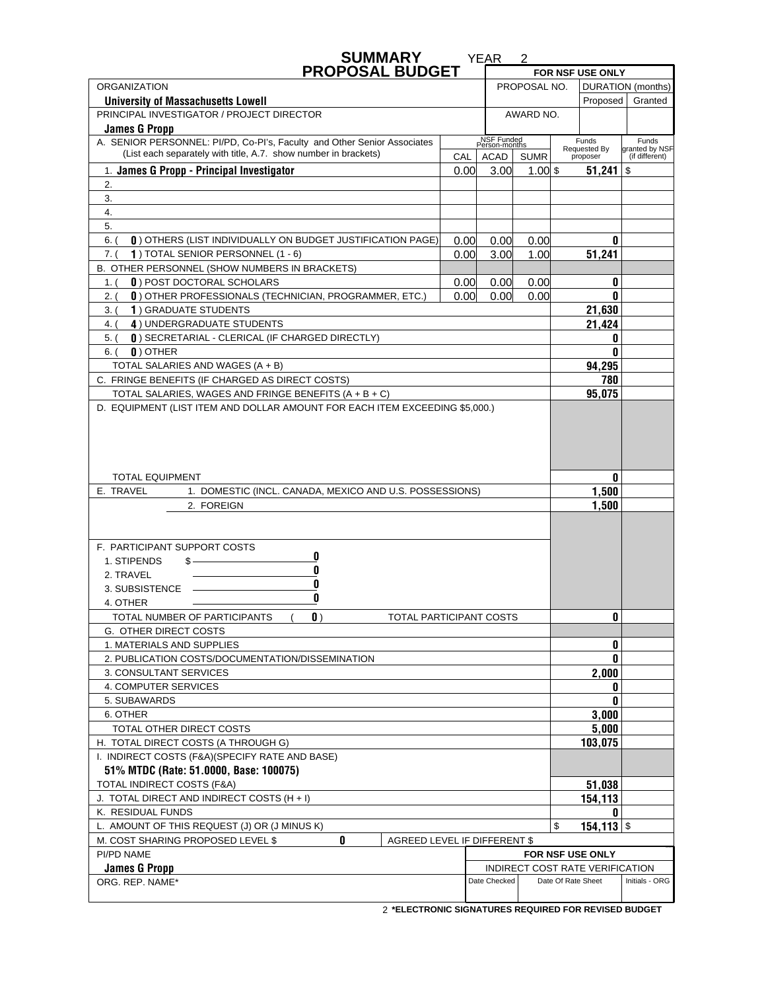| <b>SUMMARY</b>                                                                                   |              | <b>YEAR</b>                 | 2           |  |                                 |                                  |
|--------------------------------------------------------------------------------------------------|--------------|-----------------------------|-------------|--|---------------------------------|----------------------------------|
| <b>PROPOSAL BUDGET</b>                                                                           |              |                             |             |  | FOR NSF USE ONLY                |                                  |
| <b>ORGANIZATION</b><br>PROPOSAL NO.                                                              |              |                             |             |  |                                 | DURATION (months)                |
| <b>University of Massachusetts Lowell</b>                                                        |              |                             |             |  | Proposed                        | Granted                          |
| PRINCIPAL INVESTIGATOR / PROJECT DIRECTOR                                                        | AWARD NO.    |                             |             |  |                                 |                                  |
| <b>James G Propp</b><br>A. SENIOR PERSONNEL: PI/PD, Co-PI's, Faculty and Other Senior Associates |              | NSF Funded<br>Person-months |             |  | Funds                           | Funds                            |
| (List each separately with title, A.7. show number in brackets)                                  | CAL          | ACAD                        | <b>SUMR</b> |  | Requested By<br>proposer        | granted by NSF<br>(if different) |
| 1. James G Propp - Principal Investigator                                                        | 0.00         | 3.00                        | $1.00$ \$   |  | 51,241                          | \$                               |
| 2.                                                                                               |              |                             |             |  |                                 |                                  |
| 3.                                                                                               |              |                             |             |  |                                 |                                  |
| 4.                                                                                               |              |                             |             |  |                                 |                                  |
| 5.                                                                                               |              |                             |             |  |                                 |                                  |
| $6.$ $($<br><b>0</b> ) OTHERS (LIST INDIVIDUALLY ON BUDGET JUSTIFICATION PAGE)                   | 0.00         |                             | 0           |  |                                 |                                  |
| 1) TOTAL SENIOR PERSONNEL (1 - 6)<br>7. (                                                        | 0.00<br>0.00 | 0.00<br>3.00                | 1.00        |  | 51,241                          |                                  |
| B. OTHER PERSONNEL (SHOW NUMBERS IN BRACKETS)                                                    |              |                             |             |  |                                 |                                  |
| <b>0</b> ) POST DOCTORAL SCHOLARS<br>1. (                                                        | 0.00         | 0.00                        | 0.00        |  | 0                               |                                  |
| 0) OTHER PROFESSIONALS (TECHNICIAN, PROGRAMMER, ETC.)<br>2. (                                    | 0.00         | 0.00                        | 0.00        |  | 0                               |                                  |
| 1) GRADUATE STUDENTS<br>3. (                                                                     |              |                             |             |  | 21,630                          |                                  |
| 4) UNDERGRADUATE STUDENTS<br>4. (                                                                |              |                             |             |  | 21,424                          |                                  |
| () SECRETARIAL - CLERICAL (IF CHARGED DIRECTLY)<br>$5.$ (                                        |              |                             |             |  | 0                               |                                  |
| $\mathbf{0}$ ) OTHER<br>$6.$ (                                                                   |              |                             |             |  | 0                               |                                  |
| TOTAL SALARIES AND WAGES (A + B)                                                                 |              |                             |             |  | 94,295                          |                                  |
| C. FRINGE BENEFITS (IF CHARGED AS DIRECT COSTS)                                                  |              |                             |             |  | 780                             |                                  |
| TOTAL SALARIES, WAGES AND FRINGE BENEFITS (A + B + C)                                            |              |                             |             |  | 95,075                          |                                  |
| <b>TOTAL EQUIPMENT</b><br>E. TRAVEL<br>1. DOMESTIC (INCL. CANADA, MEXICO AND U.S. POSSESSIONS)   |              |                             |             |  | 0<br>1,500                      |                                  |
| 2. FOREIGN                                                                                       |              |                             | 1,500       |  |                                 |                                  |
|                                                                                                  |              |                             |             |  |                                 |                                  |
|                                                                                                  |              |                             |             |  |                                 |                                  |
| F. PARTICIPANT SUPPORT COSTS                                                                     |              |                             |             |  |                                 |                                  |
| 0<br>1. STIPENDS<br>\$.<br>0                                                                     |              |                             |             |  |                                 |                                  |
| 2. TRAVEL                                                                                        |              |                             |             |  |                                 |                                  |
| 3. SUBSISTENCE<br>0                                                                              | 0            |                             |             |  |                                 |                                  |
| 4. OTHER                                                                                         |              |                             |             |  |                                 |                                  |
| TOTAL NUMBER OF PARTICIPANTS<br>$\mathbf{0}$ )<br>TOTAL PARTICIPANT COSTS                        |              |                             |             |  | 0                               |                                  |
| G. OTHER DIRECT COSTS                                                                            |              |                             |             |  |                                 |                                  |
| 1. MATERIALS AND SUPPLIES                                                                        |              |                             |             |  | 0                               |                                  |
| 2. PUBLICATION COSTS/DOCUMENTATION/DISSEMINATION                                                 |              |                             |             |  | 0                               |                                  |
| 3. CONSULTANT SERVICES                                                                           |              |                             |             |  | 2,000                           |                                  |
| 4. COMPUTER SERVICES                                                                             |              |                             |             |  | 0                               |                                  |
| 5. SUBAWARDS                                                                                     |              |                             |             |  | 0                               |                                  |
| 6. OTHER                                                                                         |              |                             | 3,000       |  |                                 |                                  |
| TOTAL OTHER DIRECT COSTS                                                                         |              |                             | 5,000       |  |                                 |                                  |
| H. TOTAL DIRECT COSTS (A THROUGH G)                                                              |              |                             | 103,075     |  |                                 |                                  |
| I. INDIRECT COSTS (F&A)(SPECIFY RATE AND BASE)                                                   |              |                             |             |  |                                 |                                  |
| 51% MTDC (Rate: 51.0000, Base: 100075)<br>TOTAL INDIRECT COSTS (F&A)                             |              |                             | 51,038      |  |                                 |                                  |
| J. TOTAL DIRECT AND INDIRECT COSTS (H + I)                                                       |              |                             | 154,113     |  |                                 |                                  |
| K. RESIDUAL FUNDS<br>0                                                                           |              |                             |             |  |                                 |                                  |
| 154,113 $\frac{1}{3}$<br>L. AMOUNT OF THIS REQUEST (J) OR (J MINUS K)<br>\$                      |              |                             |             |  |                                 |                                  |
| 0<br>M. COST SHARING PROPOSED LEVEL \$<br>AGREED LEVEL IF DIFFERENT \$                           |              |                             |             |  |                                 |                                  |
| PI/PD NAME<br>FOR NSF USE ONLY                                                                   |              |                             |             |  |                                 |                                  |
| <b>James G Propp</b>                                                                             |              |                             |             |  | INDIRECT COST RATE VERIFICATION |                                  |
| ORG. REP. NAME*                                                                                  |              | Date Checked                |             |  | Date Of Rate Sheet              | Initials - ORG                   |
|                                                                                                  |              |                             |             |  |                                 |                                  |

 **\*ELECTRONIC SIGNATURES REQUIRED FOR REVISED BUDGET** 2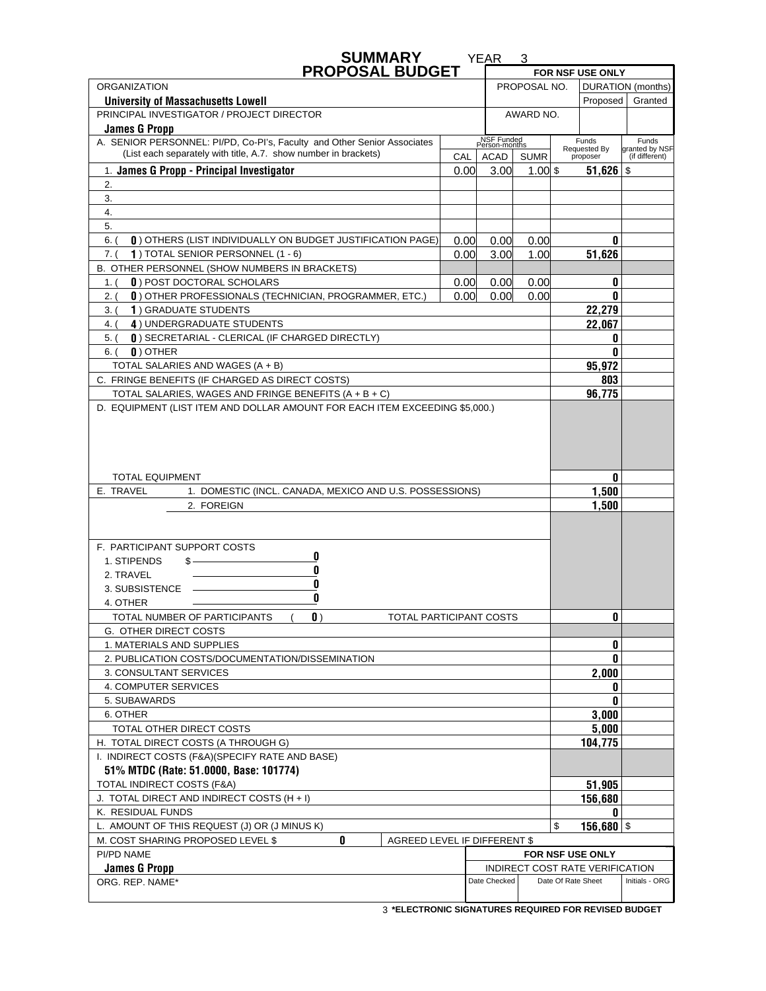| <b>SUMMARY</b>                                                                                   |                              | <b>YEAR</b>                 | 3           |  |                                 |                                  |
|--------------------------------------------------------------------------------------------------|------------------------------|-----------------------------|-------------|--|---------------------------------|----------------------------------|
| <b>PROPOSAL BUDGET</b>                                                                           |                              |                             |             |  | FOR NSF USE ONLY                |                                  |
| <b>ORGANIZATION</b>                                                                              | PROPOSAL NO.                 |                             |             |  |                                 | DURATION (months)                |
| <b>University of Massachusetts Lowell</b>                                                        |                              |                             |             |  | Proposed                        | Granted                          |
| PRINCIPAL INVESTIGATOR / PROJECT DIRECTOR                                                        | AWARD NO.                    |                             |             |  |                                 |                                  |
| <b>James G Propp</b><br>A. SENIOR PERSONNEL: PI/PD, Co-PI's, Faculty and Other Senior Associates |                              | NSF Funded<br>Person-months |             |  | Funds                           | Funds                            |
| (List each separately with title, A.7. show number in brackets)                                  | CAL                          | ACAD                        | <b>SUMR</b> |  | Requested By<br>proposer        | granted by NSF<br>(if different) |
| 1. James G Propp - Principal Investigator                                                        | 0.00                         | 3.00                        | $1.00$ \$   |  | $51,626$ \$                     |                                  |
| 2.                                                                                               |                              |                             |             |  |                                 |                                  |
| 3.                                                                                               |                              |                             |             |  |                                 |                                  |
| 4.                                                                                               |                              |                             |             |  |                                 |                                  |
| 5.                                                                                               |                              |                             |             |  |                                 |                                  |
| 0) OTHERS (LIST INDIVIDUALLY ON BUDGET JUSTIFICATION PAGE)<br>$6.$ $($                           | 0.00                         | 0.00                        | 0.00        |  | 0                               |                                  |
| 1) TOTAL SENIOR PERSONNEL (1 - 6)<br>7. (                                                        | 0.00                         | 3.00                        | 1.00        |  | 51,626                          |                                  |
| B. OTHER PERSONNEL (SHOW NUMBERS IN BRACKETS)                                                    |                              |                             |             |  |                                 |                                  |
| <b>0</b> ) POST DOCTORAL SCHOLARS<br>1. (                                                        | 0.00                         | 0.00                        | 0.00        |  | 0                               |                                  |
| 0) OTHER PROFESSIONALS (TECHNICIAN, PROGRAMMER, ETC.)<br>2. (                                    | 0.00 <sub>l</sub>            | 0.00                        | 0.00        |  | 0                               |                                  |
| 1) GRADUATE STUDENTS<br>3. (                                                                     |                              |                             |             |  | 22,279                          |                                  |
| 4) UNDERGRADUATE STUDENTS<br>4. (                                                                |                              |                             |             |  | 22,067                          |                                  |
| 0) SECRETARIAL - CLERICAL (IF CHARGED DIRECTLY)<br>$5.$ (                                        |                              |                             |             |  | O                               |                                  |
| $\mathbf{0}$ ) OTHER<br>$6.$ (                                                                   |                              |                             |             |  | 0                               |                                  |
| TOTAL SALARIES AND WAGES (A + B)                                                                 |                              |                             |             |  | 95,972                          |                                  |
| C. FRINGE BENEFITS (IF CHARGED AS DIRECT COSTS)                                                  |                              |                             |             |  | 803                             |                                  |
| TOTAL SALARIES, WAGES AND FRINGE BENEFITS (A + B + C)                                            |                              |                             |             |  | 96,775                          |                                  |
| <b>TOTAL EQUIPMENT</b>                                                                           |                              |                             |             |  | 0                               |                                  |
| E. TRAVEL<br>1. DOMESTIC (INCL. CANADA, MEXICO AND U.S. POSSESSIONS)                             |                              |                             |             |  | 1,500                           |                                  |
| 2. FOREIGN                                                                                       |                              |                             | 1,500       |  |                                 |                                  |
|                                                                                                  |                              |                             |             |  |                                 |                                  |
| F. PARTICIPANT SUPPORT COSTS                                                                     |                              |                             |             |  |                                 |                                  |
| 0<br>1. STIPENDS<br>\$-                                                                          |                              |                             |             |  |                                 |                                  |
| 0<br>2. TRAVEL                                                                                   |                              |                             |             |  |                                 |                                  |
| 0<br>3. SUBSISTENCE                                                                              |                              |                             |             |  |                                 |                                  |
| 0<br>4. OTHER                                                                                    |                              |                             |             |  |                                 |                                  |
| TOTAL NUMBER OF PARTICIPANTS<br>$\mathbf{0}$ )                                                   | TOTAL PARTICIPANT COSTS<br>0 |                             |             |  |                                 |                                  |
| G. OTHER DIRECT COSTS                                                                            |                              |                             |             |  |                                 |                                  |
| 1. MATERIALS AND SUPPLIES                                                                        |                              |                             |             |  | 0                               |                                  |
| 2. PUBLICATION COSTS/DOCUMENTATION/DISSEMINATION                                                 |                              |                             |             |  | 0                               |                                  |
| 3. CONSULTANT SERVICES                                                                           |                              |                             |             |  | 2,000                           |                                  |
| 4. COMPUTER SERVICES                                                                             |                              |                             |             |  | 0                               |                                  |
| 5. SUBAWARDS                                                                                     |                              |                             |             |  | 0                               |                                  |
| 6. OTHER                                                                                         |                              |                             | 3,000       |  |                                 |                                  |
| TOTAL OTHER DIRECT COSTS                                                                         |                              |                             | 5,000       |  |                                 |                                  |
| H. TOTAL DIRECT COSTS (A THROUGH G)                                                              |                              |                             | 104,775     |  |                                 |                                  |
| I. INDIRECT COSTS (F&A)(SPECIFY RATE AND BASE)                                                   |                              |                             |             |  |                                 |                                  |
| 51% MTDC (Rate: 51.0000, Base: 101774)                                                           |                              |                             |             |  |                                 |                                  |
| TOTAL INDIRECT COSTS (F&A)                                                                       |                              |                             | 51,905      |  |                                 |                                  |
| 156,680<br>J. TOTAL DIRECT AND INDIRECT COSTS (H + I)<br>0                                       |                              |                             |             |  |                                 |                                  |
| K. RESIDUAL FUNDS<br>L. AMOUNT OF THIS REQUEST (J) OR (J MINUS K)<br>\$                          |                              |                             |             |  |                                 |                                  |
| 156,680 $\frac{1}{3}$<br>0<br>M. COST SHARING PROPOSED LEVEL \$<br>AGREED LEVEL IF DIFFERENT \$  |                              |                             |             |  |                                 |                                  |
| PI/PD NAME                                                                                       |                              |                             |             |  | FOR NSF USE ONLY                |                                  |
| <b>James G Propp</b>                                                                             |                              |                             |             |  | INDIRECT COST RATE VERIFICATION |                                  |
| ORG. REP. NAME*                                                                                  |                              | Date Checked                |             |  | Date Of Rate Sheet              | Initials - ORG                   |
|                                                                                                  |                              |                             |             |  |                                 |                                  |

 **\*ELECTRONIC SIGNATURES REQUIRED FOR REVISED BUDGET** 3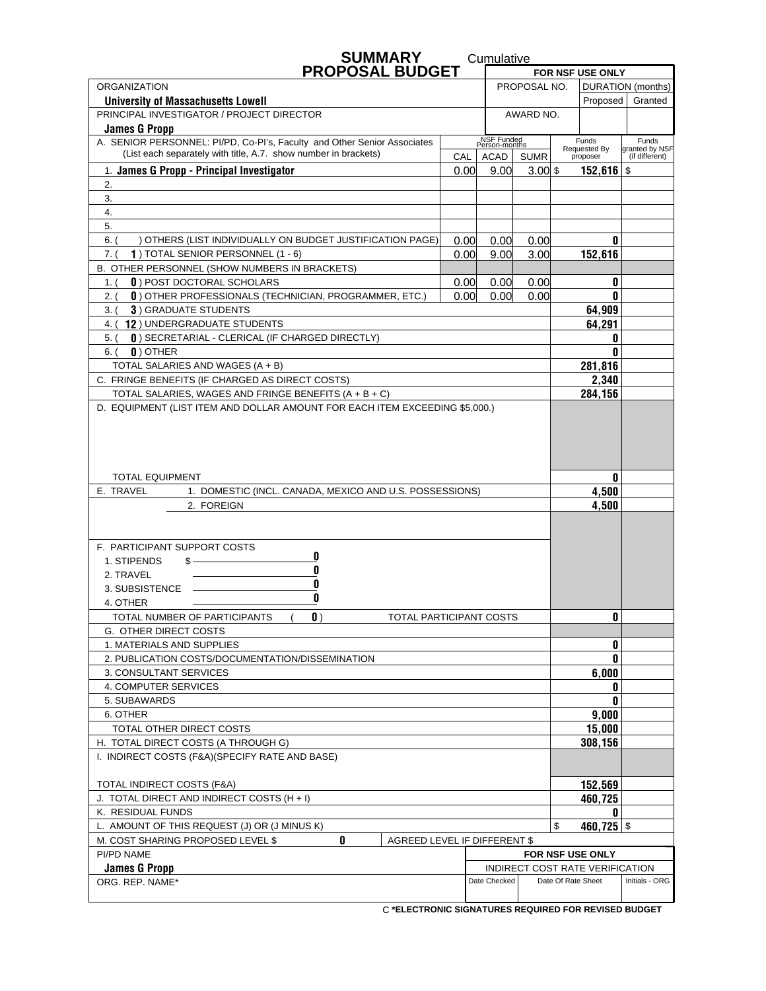| <b>SUMMARY</b>                                                                                                                                        |                   | Cumulative                  |             |  |                                 |                                  |
|-------------------------------------------------------------------------------------------------------------------------------------------------------|-------------------|-----------------------------|-------------|--|---------------------------------|----------------------------------|
| <b>PROPOSAL BUDGET</b>                                                                                                                                |                   |                             |             |  | FOR NSF USE ONLY                |                                  |
| <b>ORGANIZATION</b><br>PROPOSAL NO.                                                                                                                   |                   |                             |             |  |                                 | DURATION (months)                |
| <b>University of Massachusetts Lowell</b><br>PRINCIPAL INVESTIGATOR / PROJECT DIRECTOR                                                                |                   |                             |             |  | Proposed                        | Granted                          |
| <b>James G Propp</b>                                                                                                                                  |                   |                             | AWARD NO.   |  |                                 |                                  |
| A. SENIOR PERSONNEL: PI/PD, Co-PI's, Faculty and Other Senior Associates                                                                              |                   | NSF Funded<br>Person-months |             |  | Funds                           | Funds                            |
| (List each separately with title, A.7. show number in brackets)                                                                                       | CAL               | ACAD                        | <b>SUMR</b> |  | Requested By<br>proposer        | granted by NSF<br>(if different) |
| 1. James G Propp - Principal Investigator                                                                                                             | 0.00 <sub>l</sub> | 9.00                        | $3.00$ \$   |  | $152,616$ \$                    |                                  |
| 2.                                                                                                                                                    |                   |                             |             |  |                                 |                                  |
| 3.                                                                                                                                                    |                   |                             |             |  |                                 |                                  |
| 4.                                                                                                                                                    |                   |                             |             |  |                                 |                                  |
| 5.                                                                                                                                                    |                   |                             |             |  |                                 |                                  |
| $6.$ $($<br>) OTHERS (LIST INDIVIDUALLY ON BUDGET JUSTIFICATION PAGE)                                                                                 | 0.00              | 0.00                        | 0.00        |  | 0                               |                                  |
| 7. (<br>1) TOTAL SENIOR PERSONNEL (1 - 6)                                                                                                             | 0.00              | 9.00                        | 3.00        |  | 152,616                         |                                  |
| B. OTHER PERSONNEL (SHOW NUMBERS IN BRACKETS)                                                                                                         |                   |                             |             |  |                                 |                                  |
| <b>0</b> ) POST DOCTORAL SCHOLARS<br>1. (                                                                                                             | 0.00              | 0.00                        | 0.00        |  | 0                               |                                  |
| 0) OTHER PROFESSIONALS (TECHNICIAN, PROGRAMMER, ETC.)<br>2. (                                                                                         | 0.00 <sub>l</sub> | 0.00                        | 0.00        |  | 0                               |                                  |
| <b>3) GRADUATE STUDENTS</b><br>3. (                                                                                                                   |                   |                             |             |  | 64.909                          |                                  |
| 4. (12) UNDERGRADUATE STUDENTS                                                                                                                        |                   |                             |             |  | 64,291                          |                                  |
| 0) SECRETARIAL - CLERICAL (IF CHARGED DIRECTLY)<br>$5.$ (                                                                                             |                   |                             |             |  | 0                               |                                  |
| $\mathbf{0}$ ) OTHER<br>$6.$ (                                                                                                                        |                   |                             |             |  | 0                               |                                  |
| TOTAL SALARIES AND WAGES (A + B)                                                                                                                      |                   |                             |             |  | 281,816                         |                                  |
| C. FRINGE BENEFITS (IF CHARGED AS DIRECT COSTS)                                                                                                       |                   |                             |             |  | 2,340                           |                                  |
| TOTAL SALARIES, WAGES AND FRINGE BENEFITS (A + B + C)<br>D. EQUIPMENT (LIST ITEM AND DOLLAR AMOUNT FOR EACH ITEM EXCEEDING \$5,000.)                  |                   |                             |             |  | 284,156                         |                                  |
| <b>TOTAL EQUIPMENT</b>                                                                                                                                |                   |                             |             |  | 0                               |                                  |
| E. TRAVEL<br>1. DOMESTIC (INCL. CANADA, MEXICO AND U.S. POSSESSIONS)                                                                                  |                   |                             |             |  | 4,500                           |                                  |
| 2. FOREIGN                                                                                                                                            |                   |                             |             |  | 4,500                           |                                  |
|                                                                                                                                                       |                   |                             |             |  |                                 |                                  |
| F. PARTICIPANT SUPPORT COSTS                                                                                                                          |                   |                             |             |  |                                 |                                  |
| 0<br>1. STIPENDS<br>\$-                                                                                                                               |                   |                             |             |  |                                 |                                  |
| 0<br>2. TRAVEL                                                                                                                                        |                   |                             |             |  |                                 |                                  |
| 0<br>3. SUBSISTENCE                                                                                                                                   |                   |                             |             |  |                                 |                                  |
| 0<br>4. OTHER                                                                                                                                         |                   |                             |             |  |                                 |                                  |
| TOTAL NUMBER OF PARTICIPANTS<br>$\mathbf{0}$ )<br>TOTAL PARTICIPANT COSTS                                                                             |                   |                             |             |  | 0                               |                                  |
| G. OTHER DIRECT COSTS                                                                                                                                 |                   |                             |             |  |                                 |                                  |
| 1. MATERIALS AND SUPPLIES                                                                                                                             |                   |                             |             |  | 0                               |                                  |
| 2. PUBLICATION COSTS/DOCUMENTATION/DISSEMINATION                                                                                                      |                   |                             |             |  | 0                               |                                  |
| 3. CONSULTANT SERVICES                                                                                                                                |                   |                             |             |  | 6,000                           |                                  |
| 4. COMPUTER SERVICES                                                                                                                                  |                   |                             |             |  | 0                               |                                  |
| 5. SUBAWARDS                                                                                                                                          |                   |                             |             |  | 0                               |                                  |
| 6. OTHER                                                                                                                                              |                   |                             | 9,000       |  |                                 |                                  |
| TOTAL OTHER DIRECT COSTS                                                                                                                              |                   |                             | 15,000      |  |                                 |                                  |
| H. TOTAL DIRECT COSTS (A THROUGH G)                                                                                                                   |                   |                             | 308,156     |  |                                 |                                  |
| I. INDIRECT COSTS (F&A)(SPECIFY RATE AND BASE)                                                                                                        |                   |                             |             |  |                                 |                                  |
|                                                                                                                                                       |                   |                             |             |  |                                 |                                  |
| TOTAL INDIRECT COSTS (F&A)                                                                                                                            |                   |                             | 152,569     |  |                                 |                                  |
| 460,725<br>J. TOTAL DIRECT AND INDIRECT COSTS (H + I)                                                                                                 |                   |                             |             |  |                                 |                                  |
| K. RESIDUAL FUNDS<br>0                                                                                                                                |                   |                             |             |  |                                 |                                  |
| 460,725 $\frac{1}{3}$<br>L. AMOUNT OF THIS REQUEST (J) OR (J MINUS K)<br>\$<br>0<br>M. COST SHARING PROPOSED LEVEL \$<br>AGREED LEVEL IF DIFFERENT \$ |                   |                             |             |  |                                 |                                  |
| PI/PD NAME                                                                                                                                            |                   |                             |             |  | FOR NSF USE ONLY                |                                  |
| <b>James G Propp</b>                                                                                                                                  |                   |                             |             |  | INDIRECT COST RATE VERIFICATION |                                  |
| ORG. REP. NAME*                                                                                                                                       |                   | Date Checked                |             |  | Date Of Rate Sheet              | Initials - ORG                   |
|                                                                                                                                                       |                   |                             |             |  |                                 |                                  |

 **\*ELECTRONIC SIGNATURES REQUIRED FOR REVISED BUDGET** C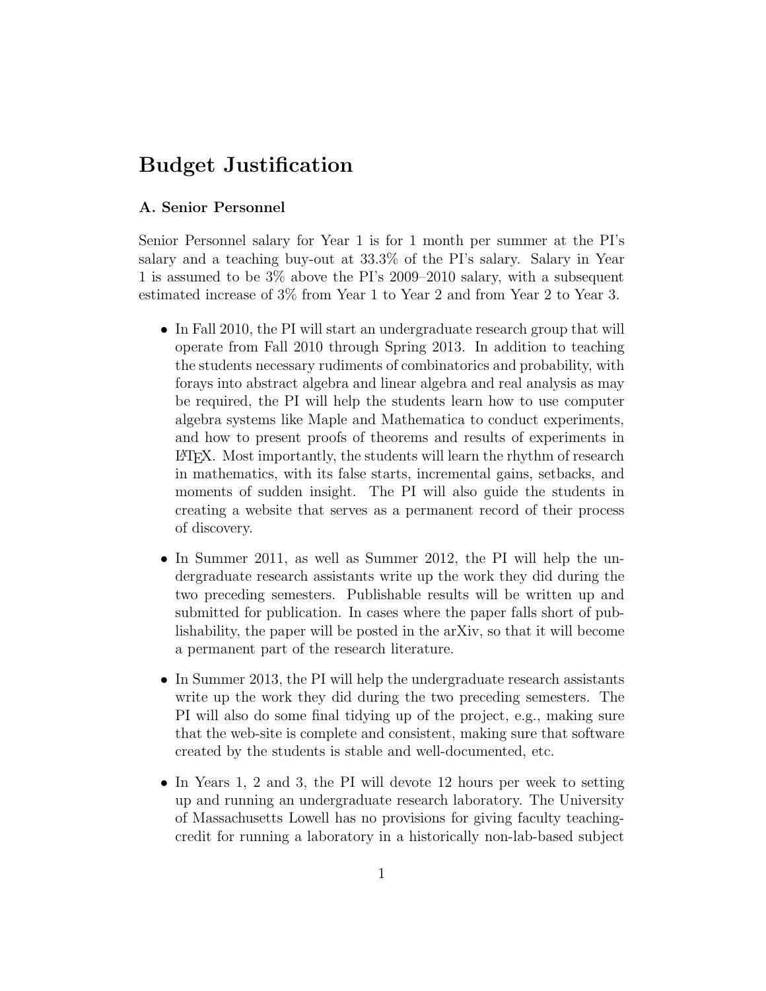# Budget Justification

### A. Senior Personnel

Senior Personnel salary for Year 1 is for 1 month per summer at the PI's salary and a teaching buy-out at 33.3% of the PI's salary. Salary in Year 1 is assumed to be 3% above the PI's 2009–2010 salary, with a subsequent estimated increase of 3% from Year 1 to Year 2 and from Year 2 to Year 3.

- In Fall 2010, the PI will start an undergraduate research group that will operate from Fall 2010 through Spring 2013. In addition to teaching the students necessary rudiments of combinatorics and probability, with forays into abstract algebra and linear algebra and real analysis as may be required, the PI will help the students learn how to use computer algebra systems like Maple and Mathematica to conduct experiments, and how to present proofs of theorems and results of experiments in L<sup>A</sup>TEX. Most importantly, the students will learn the rhythm of research in mathematics, with its false starts, incremental gains, setbacks, and moments of sudden insight. The PI will also guide the students in creating a website that serves as a permanent record of their process of discovery.
- In Summer 2011, as well as Summer 2012, the PI will help the undergraduate research assistants write up the work they did during the two preceding semesters. Publishable results will be written up and submitted for publication. In cases where the paper falls short of publishability, the paper will be posted in the arXiv, so that it will become a permanent part of the research literature.
- In Summer 2013, the PI will help the undergraduate research assistants write up the work they did during the two preceding semesters. The PI will also do some final tidying up of the project, e.g., making sure that the web-site is complete and consistent, making sure that software created by the students is stable and well-documented, etc.
- In Years 1, 2 and 3, the PI will devote 12 hours per week to setting up and running an undergraduate research laboratory. The University of Massachusetts Lowell has no provisions for giving faculty teachingcredit for running a laboratory in a historically non-lab-based subject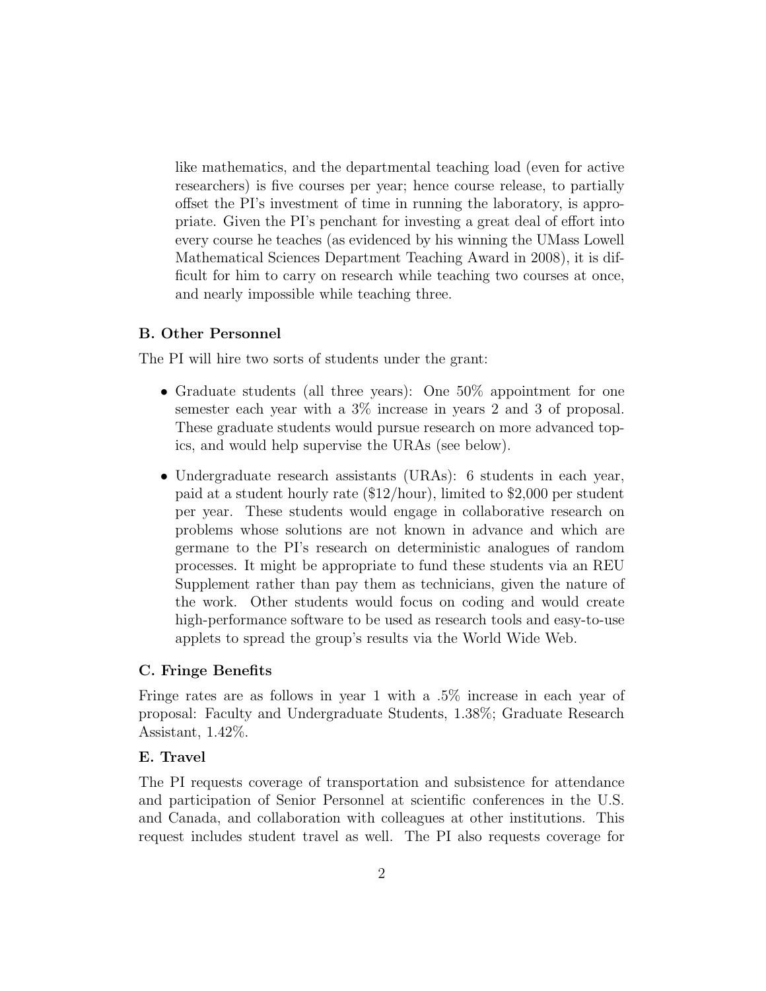like mathematics, and the departmental teaching load (even for active researchers) is five courses per year; hence course release, to partially offset the PI's investment of time in running the laboratory, is appropriate. Given the PI's penchant for investing a great deal of effort into every course he teaches (as evidenced by his winning the UMass Lowell Mathematical Sciences Department Teaching Award in 2008), it is difficult for him to carry on research while teaching two courses at once, and nearly impossible while teaching three.

#### B. Other Personnel

The PI will hire two sorts of students under the grant:

- Graduate students (all three years): One 50% appointment for one semester each year with a 3% increase in years 2 and 3 of proposal. These graduate students would pursue research on more advanced topics, and would help supervise the URAs (see below).
- Undergraduate research assistants (URAs): 6 students in each year, paid at a student hourly rate (\$12/hour), limited to \$2,000 per student per year. These students would engage in collaborative research on problems whose solutions are not known in advance and which are germane to the PI's research on deterministic analogues of random processes. It might be appropriate to fund these students via an REU Supplement rather than pay them as technicians, given the nature of the work. Other students would focus on coding and would create high-performance software to be used as research tools and easy-to-use applets to spread the group's results via the World Wide Web.

#### C. Fringe Benefits

Fringe rates are as follows in year 1 with a .5% increase in each year of proposal: Faculty and Undergraduate Students, 1.38%; Graduate Research Assistant, 1.42%.

#### E. Travel

The PI requests coverage of transportation and subsistence for attendance and participation of Senior Personnel at scientific conferences in the U.S. and Canada, and collaboration with colleagues at other institutions. This request includes student travel as well. The PI also requests coverage for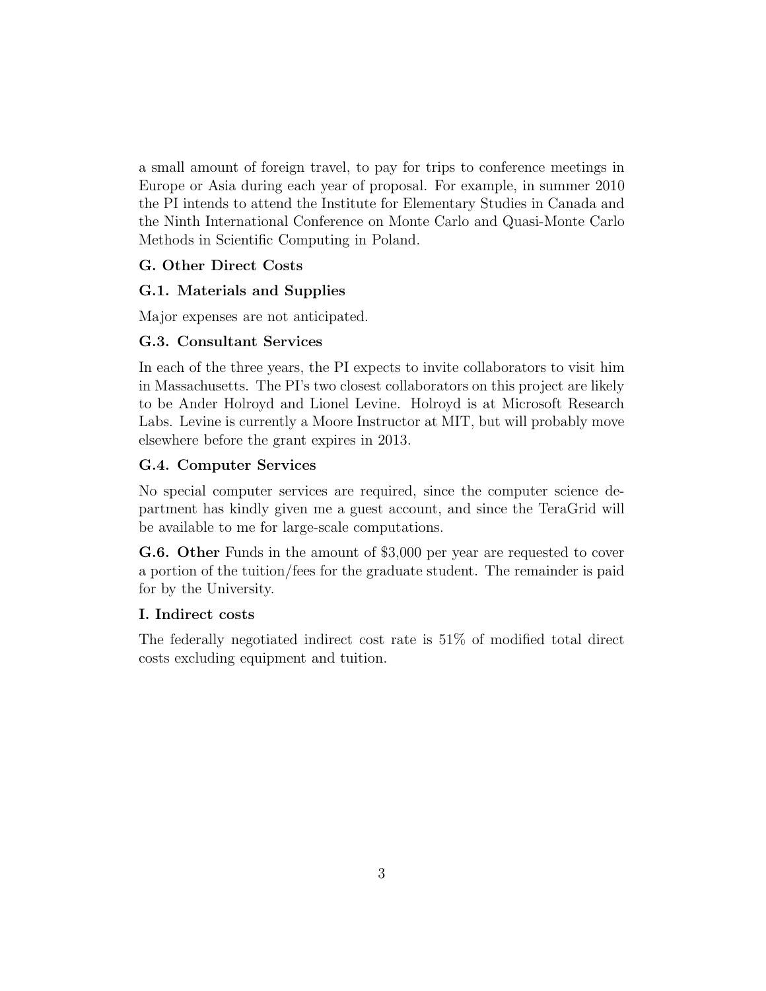a small amount of foreign travel, to pay for trips to conference meetings in Europe or Asia during each year of proposal. For example, in summer 2010 the PI intends to attend the Institute for Elementary Studies in Canada and the Ninth International Conference on Monte Carlo and Quasi-Monte Carlo Methods in Scientific Computing in Poland.

## G. Other Direct Costs

### G.1. Materials and Supplies

Major expenses are not anticipated.

### G.3. Consultant Services

In each of the three years, the PI expects to invite collaborators to visit him in Massachusetts. The PI's two closest collaborators on this project are likely to be Ander Holroyd and Lionel Levine. Holroyd is at Microsoft Research Labs. Levine is currently a Moore Instructor at MIT, but will probably move elsewhere before the grant expires in 2013.

### G.4. Computer Services

No special computer services are required, since the computer science department has kindly given me a guest account, and since the TeraGrid will be available to me for large-scale computations.

G.6. Other Funds in the amount of \$3,000 per year are requested to cover a portion of the tuition/fees for the graduate student. The remainder is paid for by the University.

#### I. Indirect costs

The federally negotiated indirect cost rate is 51% of modified total direct costs excluding equipment and tuition.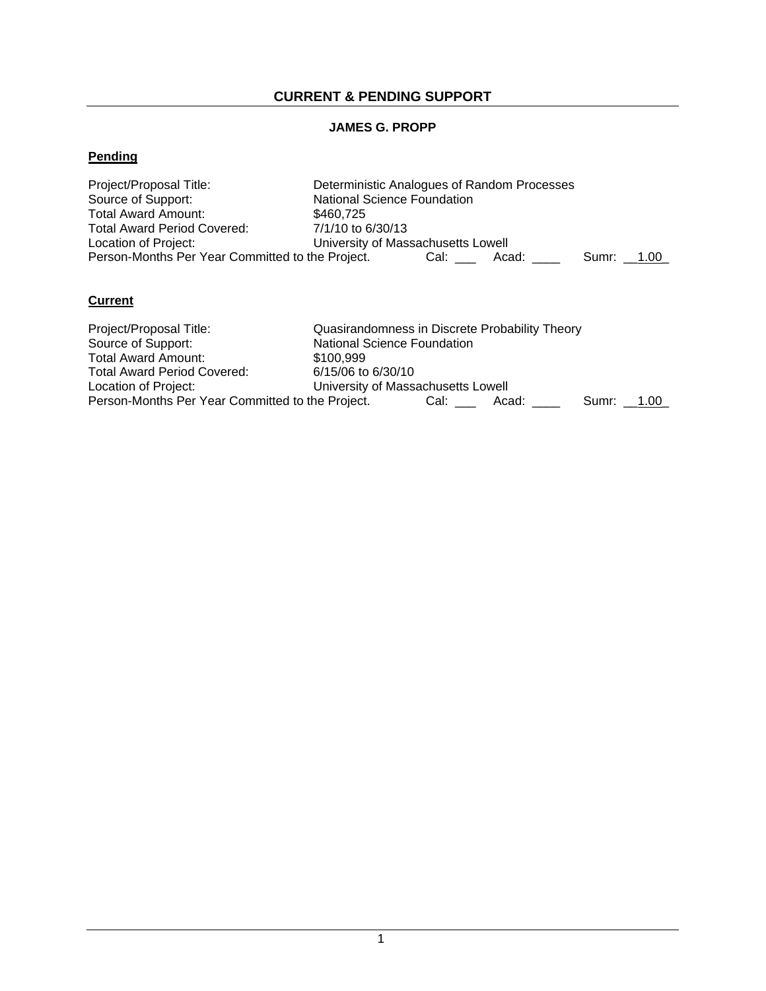## **CURRENT & PENDING SUPPORT**

### **JAMES G. PROPP**

## **Pending**

| Project/Proposal Title:                          | Deterministic Analogues of Random Processes |  |  |  |  |  |
|--------------------------------------------------|---------------------------------------------|--|--|--|--|--|
| Source of Support:                               | <b>National Science Foundation</b>          |  |  |  |  |  |
| Total Award Amount:                              | \$460.725                                   |  |  |  |  |  |
| Total Award Period Covered:                      | 7/1/10 to 6/30/13                           |  |  |  |  |  |
| Location of Project:                             | University of Massachusetts Lowell          |  |  |  |  |  |
| Person-Months Per Year Committed to the Project. | Cal:<br>Acad:<br>Sumr: 1.00                 |  |  |  |  |  |

## **Current**

| Project/Proposal Title:                          | Quasirandomness in Discrete Probability Theory |  |  |  |  |
|--------------------------------------------------|------------------------------------------------|--|--|--|--|
| Source of Support:                               | <b>National Science Foundation</b>             |  |  |  |  |
| Total Award Amount:                              | \$100.999                                      |  |  |  |  |
| Total Award Period Covered:                      | 6/15/06 to 6/30/10                             |  |  |  |  |
| Location of Project:                             | University of Massachusetts Lowell             |  |  |  |  |
| Person-Months Per Year Committed to the Project. | Cal: C<br>Acad:<br>Sumr: 1.00                  |  |  |  |  |